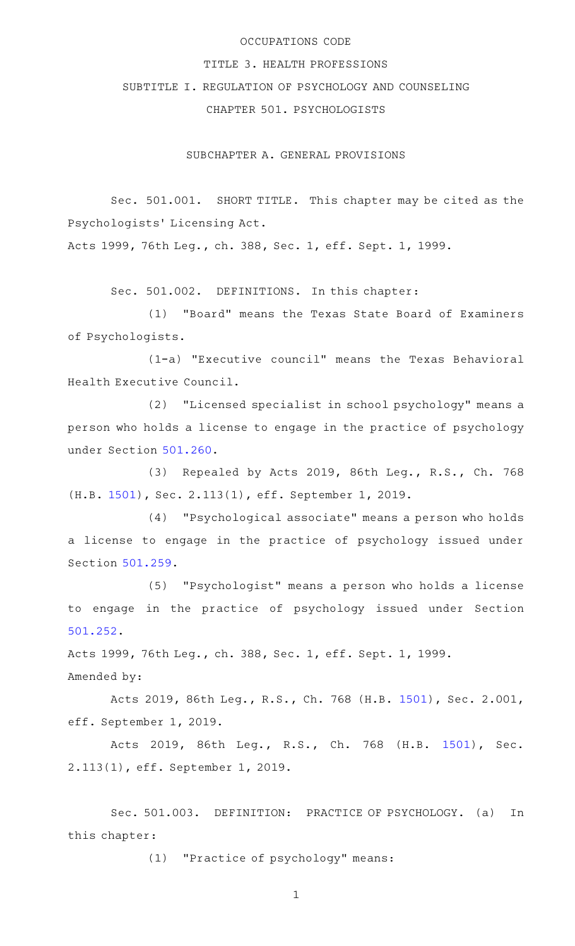# OCCUPATIONS CODE

#### TITLE 3. HEALTH PROFESSIONS

# SUBTITLE I. REGULATION OF PSYCHOLOGY AND COUNSELING

CHAPTER 501. PSYCHOLOGISTS

SUBCHAPTER A. GENERAL PROVISIONS

Sec. 501.001. SHORT TITLE. This chapter may be cited as the Psychologists' Licensing Act.

Acts 1999, 76th Leg., ch. 388, Sec. 1, eff. Sept. 1, 1999.

Sec. 501.002. DEFINITIONS. In this chapter:

(1) "Board" means the Texas State Board of Examiners of Psychologists.

(1-a) "Executive council" means the Texas Behavioral Health Executive Council.

(2) "Licensed specialist in school psychology" means a person who holds a license to engage in the practice of psychology under Section [501.260](http://www.statutes.legis.state.tx.us/GetStatute.aspx?Code=OC&Value=501.260).

(3) Repealed by Acts 2019, 86th Leg., R.S., Ch. 768 (H.B. [1501\)](http://www.legis.state.tx.us/tlodocs/86R/billtext/html/HB01501F.HTM), Sec. 2.113(1), eff. September 1, 2019.

(4) "Psychological associate" means a person who holds a license to engage in the practice of psychology issued under Section [501.259.](http://www.statutes.legis.state.tx.us/GetStatute.aspx?Code=OC&Value=501.259)

(5) "Psychologist" means a person who holds a license to engage in the practice of psychology issued under Section [501.252.](http://www.statutes.legis.state.tx.us/GetStatute.aspx?Code=OC&Value=501.252)

Acts 1999, 76th Leg., ch. 388, Sec. 1, eff. Sept. 1, 1999. Amended by:

Acts 2019, 86th Leg., R.S., Ch. 768 (H.B. [1501\)](http://www.legis.state.tx.us/tlodocs/86R/billtext/html/HB01501F.HTM), Sec. 2.001, eff. September 1, 2019.

Acts 2019, 86th Leg., R.S., Ch. 768 (H.B. [1501\)](http://www.legis.state.tx.us/tlodocs/86R/billtext/html/HB01501F.HTM), Sec. 2.113(1), eff. September 1, 2019.

Sec. 501.003. DEFINITION: PRACTICE OF PSYCHOLOGY. (a) In this chapter:

(1) "Practice of psychology" means: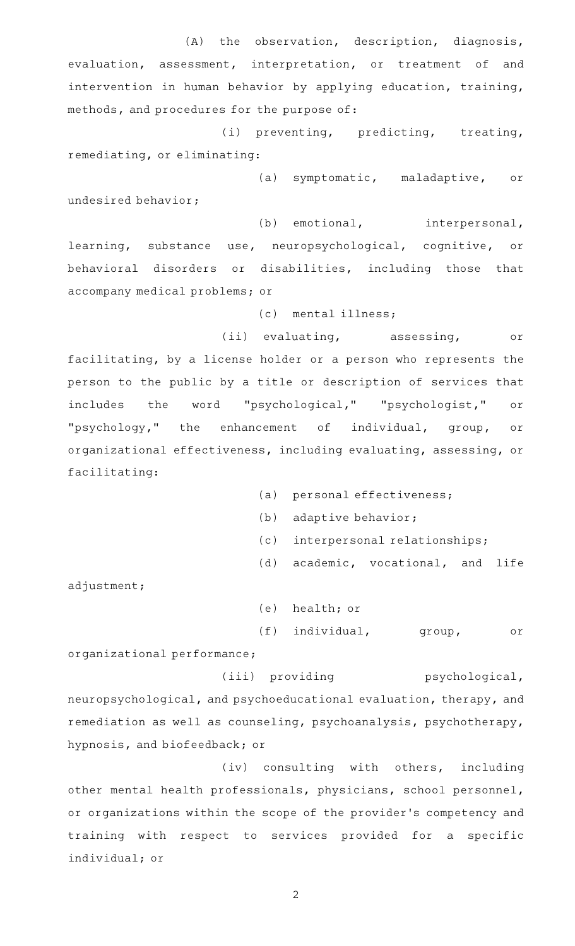(A) the observation, description, diagnosis, evaluation, assessment, interpretation, or treatment of and intervention in human behavior by applying education, training, methods, and procedures for the purpose of:

(i) preventing, predicting, treating, remediating, or eliminating:

(a) symptomatic, maladaptive, or undesired behavior;

(b) emotional, interpersonal, learning, substance use, neuropsychological, cognitive, or behavioral disorders or disabilities, including those that accompany medical problems; or

(c) mental illness;

(ii) evaluating, assessing, or facilitating, by a license holder or a person who represents the person to the public by a title or description of services that includes the word "psychological," "psychologist," or "psychology," the enhancement of individual, group, or organizational effectiveness, including evaluating, assessing, or facilitating:

- (a) personal effectiveness;
- (b) adaptive behavior;
- (c) interpersonal relationships;
- (d) academic, vocational, and life

adjustment;

(e) health; or (f) individual, group, or

organizational performance;

(iii) providing psychological, neuropsychological, and psychoeducational evaluation, therapy, and remediation as well as counseling, psychoanalysis, psychotherapy, hypnosis, and biofeedback; or

(iv) consulting with others, including other mental health professionals, physicians, school personnel, or organizations within the scope of the provider 's competency and training with respect to services provided for a specific individual; or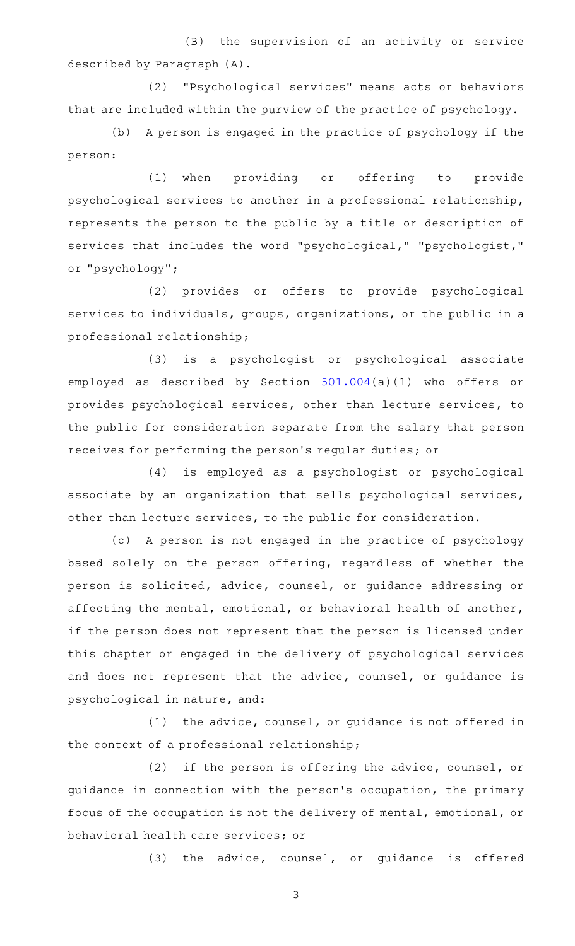(B) the supervision of an activity or service described by Paragraph (A).

(2) "Psychological services" means acts or behaviors that are included within the purview of the practice of psychology.

(b) A person is engaged in the practice of psychology if the person:

(1) when providing or offering to provide psychological services to another in a professional relationship, represents the person to the public by a title or description of services that includes the word "psychological," "psychologist," or "psychology";

(2) provides or offers to provide psychological services to individuals, groups, organizations, or the public in a professional relationship;

(3) is a psychologist or psychological associate employed as described by Section [501.004\(](http://www.statutes.legis.state.tx.us/GetStatute.aspx?Code=OC&Value=501.004)a)(1) who offers or provides psychological services, other than lecture services, to the public for consideration separate from the salary that person receives for performing the person 's regular duties; or

(4) is employed as a psychologist or psychological associate by an organization that sells psychological services, other than lecture services, to the public for consideration.

(c)AAA person is not engaged in the practice of psychology based solely on the person offering, regardless of whether the person is solicited, advice, counsel, or guidance addressing or affecting the mental, emotional, or behavioral health of another, if the person does not represent that the person is licensed under this chapter or engaged in the delivery of psychological services and does not represent that the advice, counsel, or guidance is psychological in nature, and:

 $(1)$  the advice, counsel, or guidance is not offered in the context of a professional relationship;

(2) if the person is offering the advice, counsel, or guidance in connection with the person 's occupation, the primary focus of the occupation is not the delivery of mental, emotional, or behavioral health care services; or

 $(3)$  the advice, counsel, or guidance is offered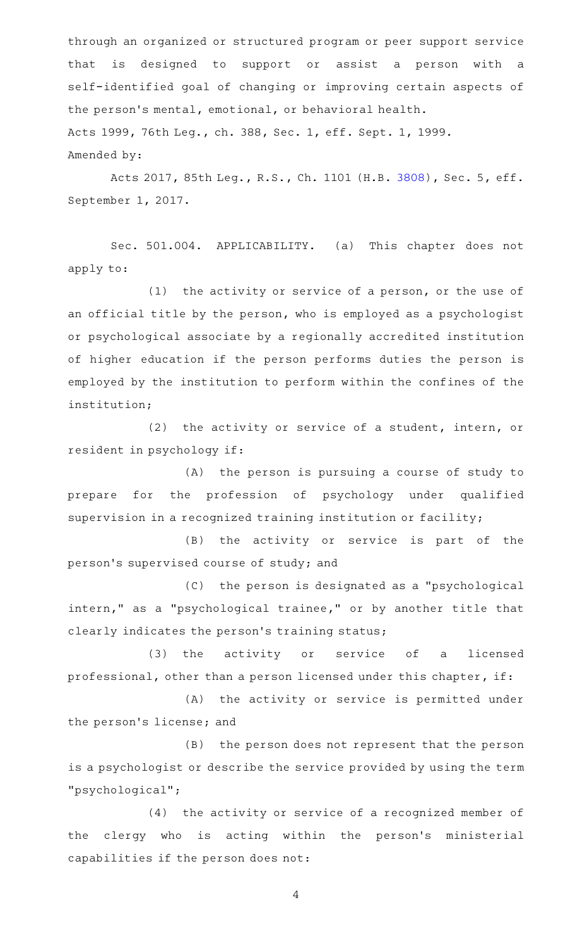through an organized or structured program or peer support service that is designed to support or assist a person with a self-identified goal of changing or improving certain aspects of the person 's mental, emotional, or behavioral health. Acts 1999, 76th Leg., ch. 388, Sec. 1, eff. Sept. 1, 1999. Amended by:

Acts 2017, 85th Leg., R.S., Ch. 1101 (H.B. [3808](http://www.legis.state.tx.us/tlodocs/85R/billtext/html/HB03808F.HTM)), Sec. 5, eff. September 1, 2017.

Sec. 501.004. APPLICABILITY. (a) This chapter does not apply to:

(1) the activity or service of a person, or the use of an official title by the person, who is employed as a psychologist or psychological associate by a regionally accredited institution of higher education if the person performs duties the person is employed by the institution to perform within the confines of the institution;

(2) the activity or service of a student, intern, or resident in psychology if:

(A) the person is pursuing a course of study to prepare for the profession of psychology under qualified supervision in a recognized training institution or facility;

(B) the activity or service is part of the person 's supervised course of study; and

(C) the person is designated as a "psychological intern," as a "psychological trainee," or by another title that clearly indicates the person's training status;

(3) the activity or service of a licensed professional, other than a person licensed under this chapter, if:

(A) the activity or service is permitted under the person's license; and

(B) the person does not represent that the person is a psychologist or describe the service provided by using the term "psychological";

(4) the activity or service of a recognized member of the clergy who is acting within the person's ministerial capabilities if the person does not: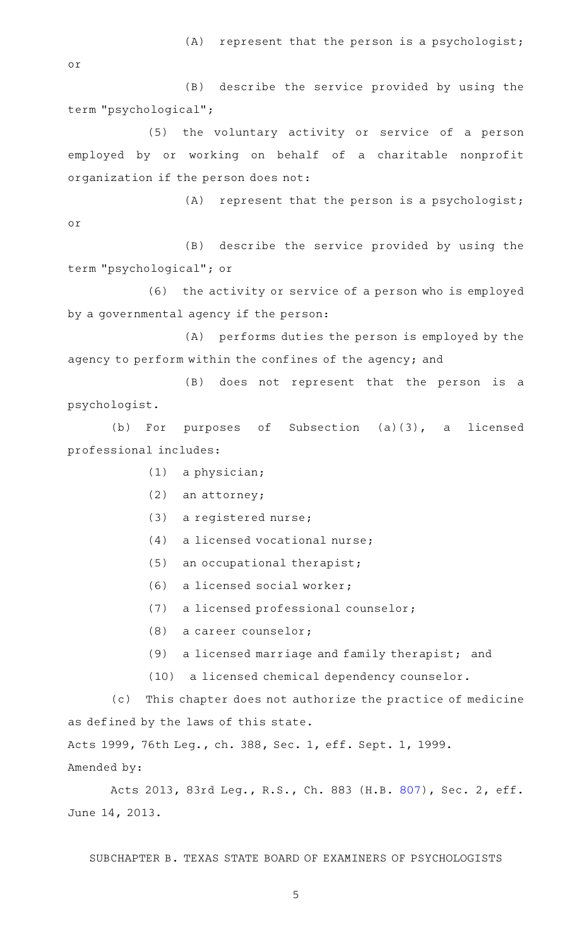$(A)$  represent that the person is a psychologist;

or

(B) describe the service provided by using the term "psychological";

(5) the voluntary activity or service of a person employed by or working on behalf of a charitable nonprofit organization if the person does not:

 $(A)$  represent that the person is a psychologist; or

(B) describe the service provided by using the term "psychological"; or

(6) the activity or service of a person who is employed by a governmental agency if the person:

(A) performs duties the person is employed by the agency to perform within the confines of the agency; and

(B) does not represent that the person is a psychologist.

(b) For purposes of Subsection  $(a)(3)$ , a licensed professional includes:

- $(1)$  a physician;
- $(2)$  an attorney;
- $(3)$  a registered nurse;
- $(4)$  a licensed vocational nurse;
- $(5)$  an occupational therapist;
- $(6)$  a licensed social worker;
- (7) a licensed professional counselor;
- $(8)$  a career counselor;
- (9) a licensed marriage and family therapist; and
- (10) a licensed chemical dependency counselor.

(c) This chapter does not authorize the practice of medicine as defined by the laws of this state.

Acts 1999, 76th Leg., ch. 388, Sec. 1, eff. Sept. 1, 1999. Amended by:

Acts 2013, 83rd Leg., R.S., Ch. 883 (H.B. [807](http://www.legis.state.tx.us/tlodocs/83R/billtext/html/HB00807F.HTM)), Sec. 2, eff. June 14, 2013.

SUBCHAPTER B. TEXAS STATE BOARD OF EXAMINERS OF PSYCHOLOGISTS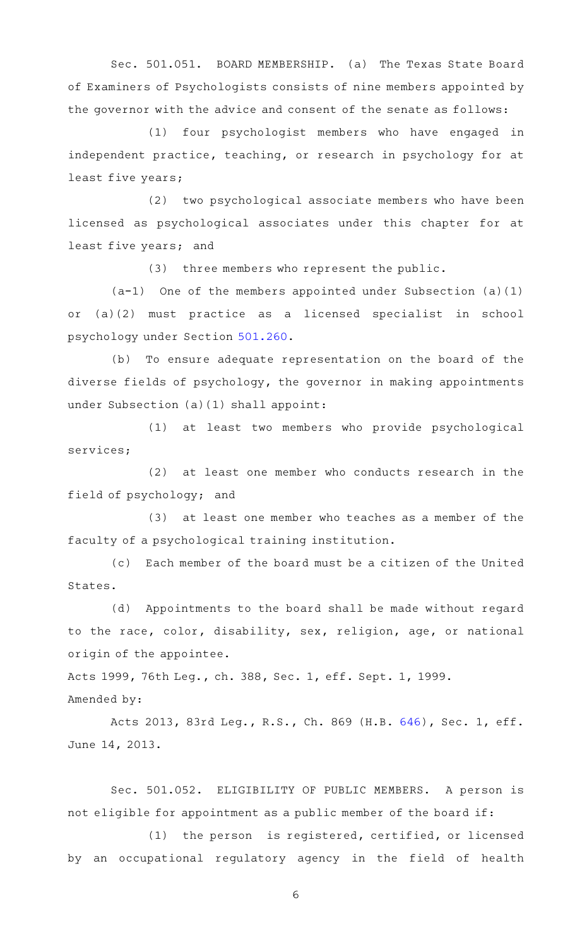Sec. 501.051. BOARD MEMBERSHIP. (a) The Texas State Board of Examiners of Psychologists consists of nine members appointed by the governor with the advice and consent of the senate as follows:

(1) four psychologist members who have engaged in independent practice, teaching, or research in psychology for at least five years;

(2) two psychological associate members who have been licensed as psychological associates under this chapter for at least five years; and

(3) three members who represent the public.

 $(a-1)$  One of the members appointed under Subsection (a)(1) or (a)(2) must practice as a licensed specialist in school psychology under Section [501.260.](http://www.statutes.legis.state.tx.us/GetStatute.aspx?Code=OC&Value=501.260)

(b) To ensure adequate representation on the board of the diverse fields of psychology, the governor in making appointments under Subsection (a)(1) shall appoint:

(1) at least two members who provide psychological services;

 $(2)$  at least one member who conducts research in the field of psychology; and

(3) at least one member who teaches as a member of the faculty of a psychological training institution.

(c) Each member of the board must be a citizen of the United States.

(d) Appointments to the board shall be made without regard to the race, color, disability, sex, religion, age, or national origin of the appointee.

Acts 1999, 76th Leg., ch. 388, Sec. 1, eff. Sept. 1, 1999.

Amended by:

Acts 2013, 83rd Leg., R.S., Ch. 869 (H.B. [646](http://www.legis.state.tx.us/tlodocs/83R/billtext/html/HB00646F.HTM)), Sec. 1, eff. June 14, 2013.

Sec. 501.052. ELIGIBILITY OF PUBLIC MEMBERS. A person is not eligible for appointment as a public member of the board if:

(1) the person is registered, certified, or licensed by an occupational regulatory agency in the field of health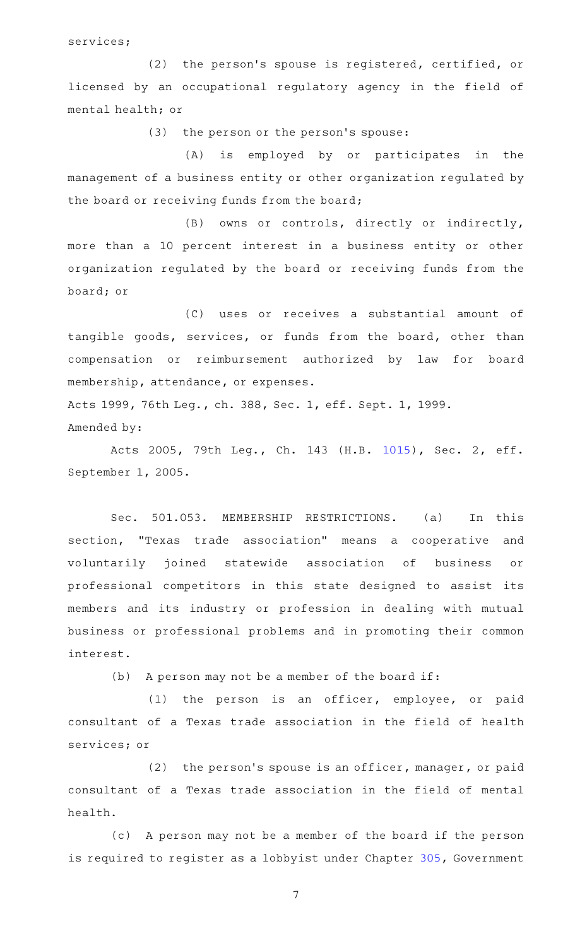services;

(2) the person's spouse is registered, certified, or licensed by an occupational regulatory agency in the field of mental health; or

(3) the person or the person's spouse:

(A) is employed by or participates in the management of a business entity or other organization regulated by the board or receiving funds from the board;

(B) owns or controls, directly or indirectly, more than a 10 percent interest in a business entity or other organization regulated by the board or receiving funds from the board; or

(C) uses or receives a substantial amount of tangible goods, services, or funds from the board, other than compensation or reimbursement authorized by law for board membership, attendance, or expenses.

Acts 1999, 76th Leg., ch. 388, Sec. 1, eff. Sept. 1, 1999. Amended by:

Acts 2005, 79th Leg., Ch. 143 (H.B. [1015](http://www.legis.state.tx.us/tlodocs/79R/billtext/html/HB01015F.HTM)), Sec. 2, eff. September 1, 2005.

Sec. 501.053. MEMBERSHIP RESTRICTIONS. (a) In this section, "Texas trade association" means a cooperative and voluntarily joined statewide association of business or professional competitors in this state designed to assist its members and its industry or profession in dealing with mutual business or professional problems and in promoting their common interest.

 $(b)$  A person may not be a member of the board if:

 $(1)$  the person is an officer, employee, or paid consultant of a Texas trade association in the field of health services; or

 $(2)$  the person's spouse is an officer, manager, or paid consultant of a Texas trade association in the field of mental health.

(c) A person may not be a member of the board if the person is required to register as a lobbyist under Chapter [305](http://www.statutes.legis.state.tx.us/GetStatute.aspx?Code=GV&Value=305), Government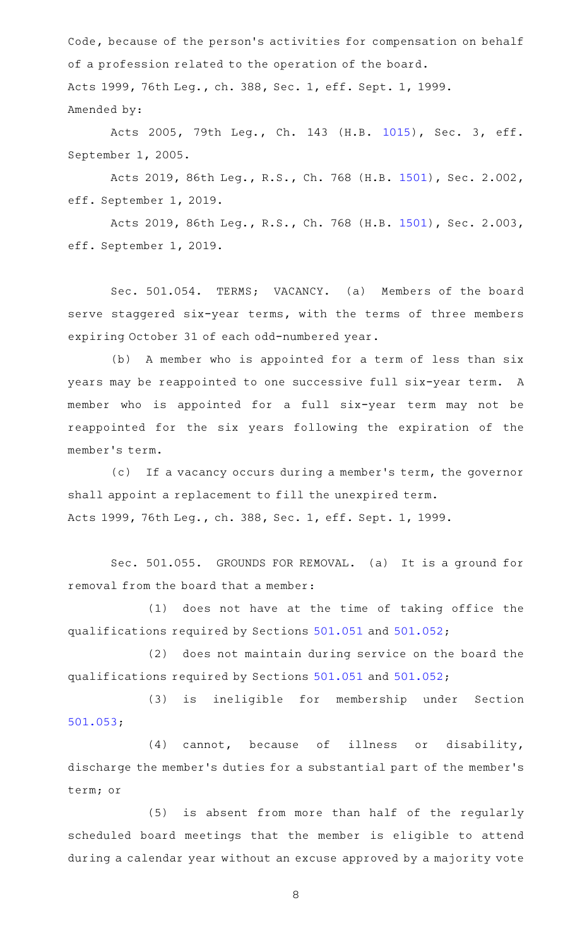Code, because of the person's activities for compensation on behalf of a profession related to the operation of the board. Acts 1999, 76th Leg., ch. 388, Sec. 1, eff. Sept. 1, 1999. Amended by:

Acts 2005, 79th Leg., Ch. 143 (H.B. [1015](http://www.legis.state.tx.us/tlodocs/79R/billtext/html/HB01015F.HTM)), Sec. 3, eff. September 1, 2005.

Acts 2019, 86th Leg., R.S., Ch. 768 (H.B. [1501\)](http://www.legis.state.tx.us/tlodocs/86R/billtext/html/HB01501F.HTM), Sec. 2.002, eff. September 1, 2019.

Acts 2019, 86th Leg., R.S., Ch. 768 (H.B. [1501\)](http://www.legis.state.tx.us/tlodocs/86R/billtext/html/HB01501F.HTM), Sec. 2.003, eff. September 1, 2019.

Sec. 501.054. TERMS; VACANCY. (a) Members of the board serve staggered six-year terms, with the terms of three members expiring October 31 of each odd-numbered year.

(b) A member who is appointed for a term of less than six years may be reappointed to one successive full six-year term. A member who is appointed for a full six-year term may not be reappointed for the six years following the expiration of the member 's term.

(c) If a vacancy occurs during a member's term, the governor shall appoint a replacement to fill the unexpired term. Acts 1999, 76th Leg., ch. 388, Sec. 1, eff. Sept. 1, 1999.

Sec. 501.055. GROUNDS FOR REMOVAL. (a) It is a ground for removal from the board that a member:

(1) does not have at the time of taking office the qualifications required by Sections [501.051](http://www.statutes.legis.state.tx.us/GetStatute.aspx?Code=OC&Value=501.051) and [501.052](http://www.statutes.legis.state.tx.us/GetStatute.aspx?Code=OC&Value=501.052);

(2) does not maintain during service on the board the qualifications required by Sections [501.051](http://www.statutes.legis.state.tx.us/GetStatute.aspx?Code=OC&Value=501.051) and [501.052](http://www.statutes.legis.state.tx.us/GetStatute.aspx?Code=OC&Value=501.052);

(3) is ineligible for membership under Section [501.053;](http://www.statutes.legis.state.tx.us/GetStatute.aspx?Code=OC&Value=501.053)

 $(4)$  cannot, because of illness or disability, discharge the member 's duties for a substantial part of the member 's term; or

(5) is absent from more than half of the regularly scheduled board meetings that the member is eligible to attend during a calendar year without an excuse approved by a majority vote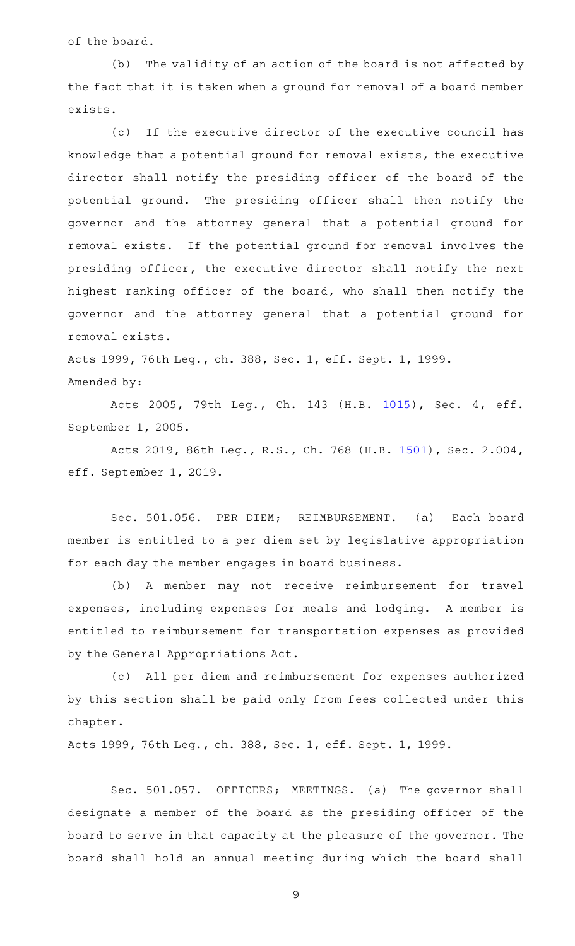of the board.

(b) The validity of an action of the board is not affected by the fact that it is taken when a ground for removal of a board member exists.

(c) If the executive director of the executive council has knowledge that a potential ground for removal exists, the executive director shall notify the presiding officer of the board of the potential ground. The presiding officer shall then notify the governor and the attorney general that a potential ground for removal exists. If the potential ground for removal involves the presiding officer, the executive director shall notify the next highest ranking officer of the board, who shall then notify the governor and the attorney general that a potential ground for removal exists.

Acts 1999, 76th Leg., ch. 388, Sec. 1, eff. Sept. 1, 1999. Amended by:

Acts 2005, 79th Leg., Ch. 143 (H.B. [1015](http://www.legis.state.tx.us/tlodocs/79R/billtext/html/HB01015F.HTM)), Sec. 4, eff. September 1, 2005.

Acts 2019, 86th Leg., R.S., Ch. 768 (H.B. [1501\)](http://www.legis.state.tx.us/tlodocs/86R/billtext/html/HB01501F.HTM), Sec. 2.004, eff. September 1, 2019.

Sec. 501.056. PER DIEM; REIMBURSEMENT. (a) Each board member is entitled to a per diem set by legislative appropriation for each day the member engages in board business.

(b) A member may not receive reimbursement for travel expenses, including expenses for meals and lodging. A member is entitled to reimbursement for transportation expenses as provided by the General Appropriations Act.

(c) All per diem and reimbursement for expenses authorized by this section shall be paid only from fees collected under this chapter.

Acts 1999, 76th Leg., ch. 388, Sec. 1, eff. Sept. 1, 1999.

Sec. 501.057. OFFICERS; MEETINGS. (a) The governor shall designate a member of the board as the presiding officer of the board to serve in that capacity at the pleasure of the governor. The board shall hold an annual meeting during which the board shall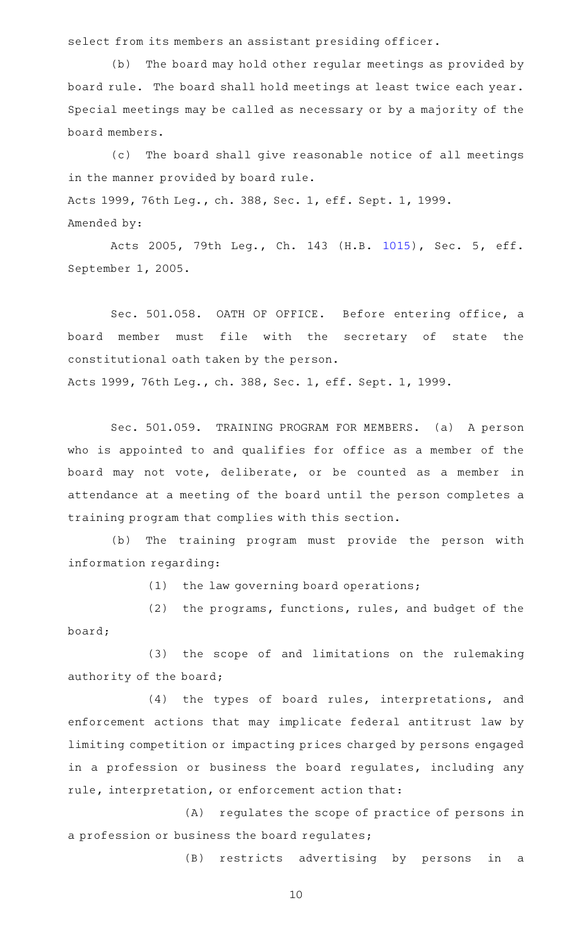select from its members an assistant presiding officer.

(b) The board may hold other regular meetings as provided by board rule. The board shall hold meetings at least twice each year. Special meetings may be called as necessary or by a majority of the board members.

(c) The board shall give reasonable notice of all meetings in the manner provided by board rule. Acts 1999, 76th Leg., ch. 388, Sec. 1, eff. Sept. 1, 1999. Amended by:

Acts 2005, 79th Leg., Ch. 143 (H.B. [1015](http://www.legis.state.tx.us/tlodocs/79R/billtext/html/HB01015F.HTM)), Sec. 5, eff. September 1, 2005.

Sec. 501.058. OATH OF OFFICE. Before entering office, a board member must file with the secretary of state the constitutional oath taken by the person. Acts 1999, 76th Leg., ch. 388, Sec. 1, eff. Sept. 1, 1999.

Sec. 501.059. TRAINING PROGRAM FOR MEMBERS. (a) A person who is appointed to and qualifies for office as a member of the board may not vote, deliberate, or be counted as a member in attendance at a meeting of the board until the person completes a training program that complies with this section.

(b) The training program must provide the person with information regarding:

 $(1)$  the law governing board operations;

(2) the programs, functions, rules, and budget of the board;

(3) the scope of and limitations on the rulemaking authority of the board;

(4) the types of board rules, interpretations, and enforcement actions that may implicate federal antitrust law by limiting competition or impacting prices charged by persons engaged in a profession or business the board regulates, including any rule, interpretation, or enforcement action that:

(A) regulates the scope of practice of persons in a profession or business the board regulates;

(B) restricts advertising by persons in a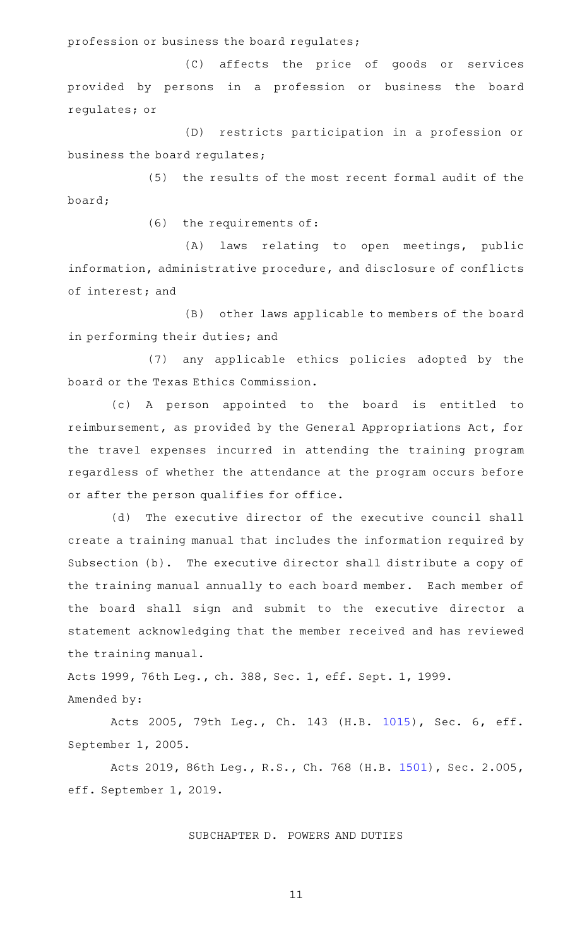profession or business the board regulates;

(C) affects the price of goods or services provided by persons in a profession or business the board regulates; or

(D) restricts participation in a profession or business the board regulates;

(5) the results of the most recent formal audit of the board;

 $(6)$  the requirements of:

(A) laws relating to open meetings, public information, administrative procedure, and disclosure of conflicts of interest; and

(B) other laws applicable to members of the board in performing their duties; and

(7) any applicable ethics policies adopted by the board or the Texas Ethics Commission.

(c)AAA person appointed to the board is entitled to reimbursement, as provided by the General Appropriations Act, for the travel expenses incurred in attending the training program regardless of whether the attendance at the program occurs before or after the person qualifies for office.

(d) The executive director of the executive council shall create a training manual that includes the information required by Subsection (b). The executive director shall distribute a copy of the training manual annually to each board member. Each member of the board shall sign and submit to the executive director a statement acknowledging that the member received and has reviewed the training manual.

Acts 1999, 76th Leg., ch. 388, Sec. 1, eff. Sept. 1, 1999. Amended by:

Acts 2005, 79th Leg., Ch. 143 (H.B. [1015](http://www.legis.state.tx.us/tlodocs/79R/billtext/html/HB01015F.HTM)), Sec. 6, eff. September 1, 2005.

Acts 2019, 86th Leg., R.S., Ch. 768 (H.B. [1501\)](http://www.legis.state.tx.us/tlodocs/86R/billtext/html/HB01501F.HTM), Sec. 2.005, eff. September 1, 2019.

#### SUBCHAPTER D. POWERS AND DUTIES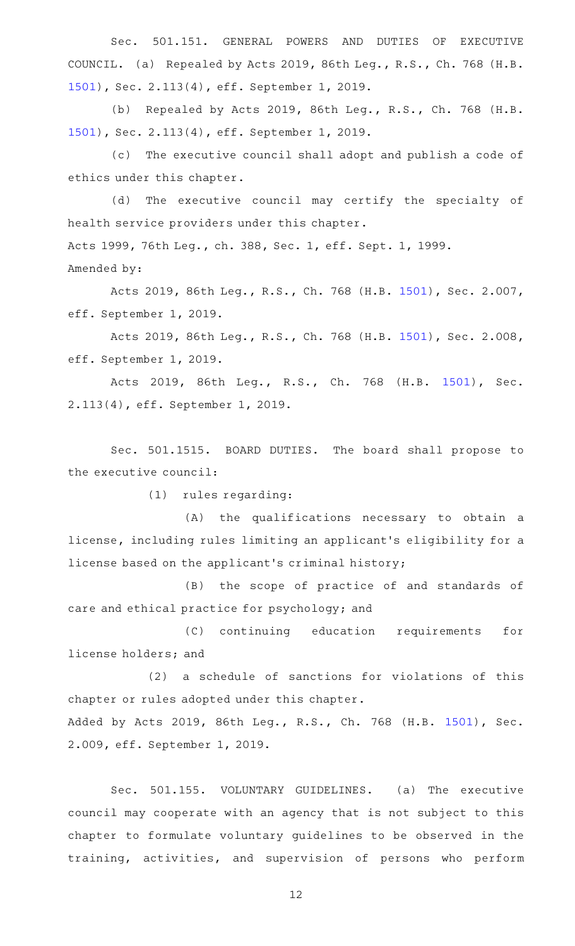Sec. 501.151. GENERAL POWERS AND DUTIES OF EXECUTIVE COUNCIL. (a) Repealed by Acts 2019, 86th Leg., R.S., Ch. 768 (H.B. [1501](http://www.legis.state.tx.us/tlodocs/86R/billtext/html/HB01501F.HTM)), Sec. 2.113(4), eff. September 1, 2019.

(b) Repealed by Acts 2019, 86th Leg., R.S., Ch. 768 (H.B. [1501](http://www.legis.state.tx.us/tlodocs/86R/billtext/html/HB01501F.HTM)), Sec. 2.113(4), eff. September 1, 2019.

(c) The executive council shall adopt and publish a code of ethics under this chapter.

(d) The executive council may certify the specialty of health service providers under this chapter. Acts 1999, 76th Leg., ch. 388, Sec. 1, eff. Sept. 1, 1999.

Amended by:

Acts 2019, 86th Leg., R.S., Ch. 768 (H.B. [1501\)](http://www.legis.state.tx.us/tlodocs/86R/billtext/html/HB01501F.HTM), Sec. 2.007, eff. September 1, 2019.

Acts 2019, 86th Leg., R.S., Ch. 768 (H.B. [1501\)](http://www.legis.state.tx.us/tlodocs/86R/billtext/html/HB01501F.HTM), Sec. 2.008, eff. September 1, 2019.

Acts 2019, 86th Leg., R.S., Ch. 768 (H.B. [1501\)](http://www.legis.state.tx.us/tlodocs/86R/billtext/html/HB01501F.HTM), Sec. 2.113(4), eff. September 1, 2019.

Sec. 501.1515. BOARD DUTIES. The board shall propose to the executive council:

(1) rules regarding:

(A) the qualifications necessary to obtain a license, including rules limiting an applicant 's eligibility for a license based on the applicant 's criminal history;

(B) the scope of practice of and standards of care and ethical practice for psychology; and

(C) continuing education requirements for license holders; and

 $(2)$  a schedule of sanctions for violations of this chapter or rules adopted under this chapter. Added by Acts 2019, 86th Leg., R.S., Ch. 768 (H.B. [1501](http://www.legis.state.tx.us/tlodocs/86R/billtext/html/HB01501F.HTM)), Sec.

2.009, eff. September 1, 2019.

Sec. 501.155. VOLUNTARY GUIDELINES. (a) The executive council may cooperate with an agency that is not subject to this chapter to formulate voluntary guidelines to be observed in the training, activities, and supervision of persons who perform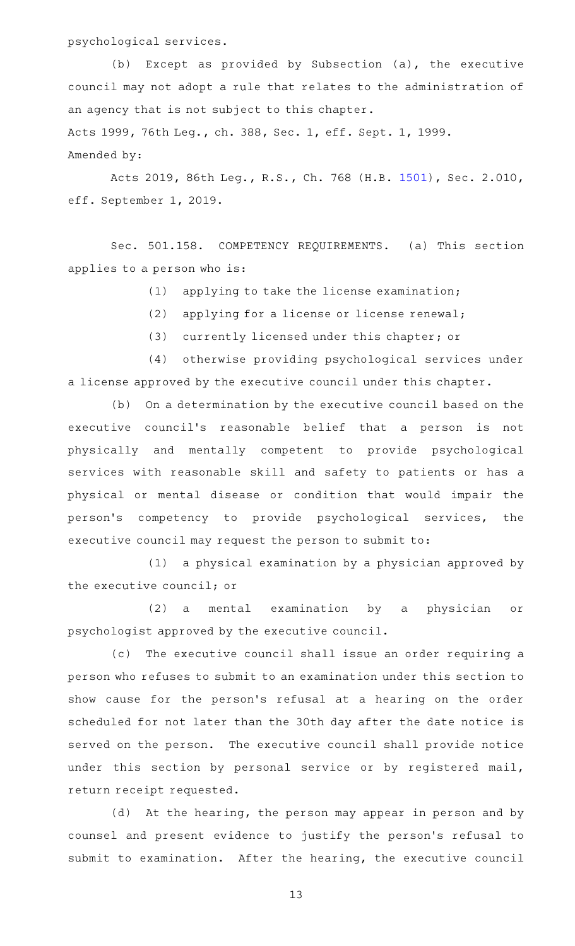psychological services.

(b) Except as provided by Subsection (a), the executive council may not adopt a rule that relates to the administration of an agency that is not subject to this chapter.

Acts 1999, 76th Leg., ch. 388, Sec. 1, eff. Sept. 1, 1999. Amended by:

Acts 2019, 86th Leg., R.S., Ch. 768 (H.B. [1501\)](http://www.legis.state.tx.us/tlodocs/86R/billtext/html/HB01501F.HTM), Sec. 2.010, eff. September 1, 2019.

Sec. 501.158. COMPETENCY REQUIREMENTS. (a) This section applies to a person who is:

 $(1)$  applying to take the license examination;

- (2) applying for a license or license renewal;
- (3) currently licensed under this chapter; or

(4) otherwise providing psychological services under a license approved by the executive council under this chapter.

(b) On a determination by the executive council based on the executive council's reasonable belief that a person is not physically and mentally competent to provide psychological services with reasonable skill and safety to patients or has a physical or mental disease or condition that would impair the person 's competency to provide psychological services, the executive council may request the person to submit to:

 $(1)$  a physical examination by a physician approved by the executive council; or

(2) a mental examination by a physician or psychologist approved by the executive council.

(c) The executive council shall issue an order requiring a person who refuses to submit to an examination under this section to show cause for the person's refusal at a hearing on the order scheduled for not later than the 30th day after the date notice is served on the person. The executive council shall provide notice under this section by personal service or by registered mail, return receipt requested.

(d) At the hearing, the person may appear in person and by counsel and present evidence to justify the person's refusal to submit to examination. After the hearing, the executive council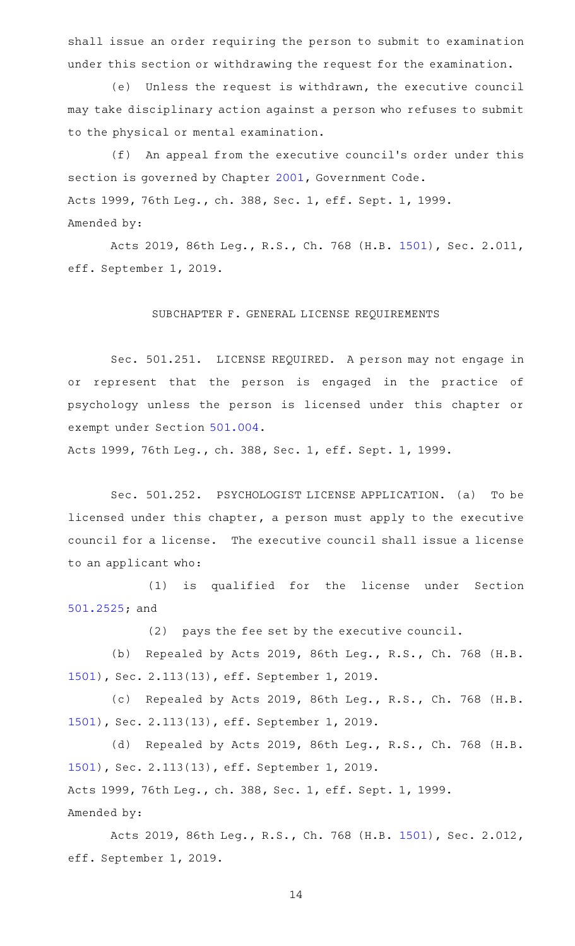shall issue an order requiring the person to submit to examination under this section or withdrawing the request for the examination.

(e) Unless the request is withdrawn, the executive council may take disciplinary action against a person who refuses to submit to the physical or mental examination.

(f) An appeal from the executive council's order under this section is governed by Chapter [2001,](http://www.statutes.legis.state.tx.us/GetStatute.aspx?Code=GV&Value=2001) Government Code. Acts 1999, 76th Leg., ch. 388, Sec. 1, eff. Sept. 1, 1999. Amended by:

Acts 2019, 86th Leg., R.S., Ch. 768 (H.B. [1501\)](http://www.legis.state.tx.us/tlodocs/86R/billtext/html/HB01501F.HTM), Sec. 2.011, eff. September 1, 2019.

## SUBCHAPTER F. GENERAL LICENSE REQUIREMENTS

Sec. 501.251. LICENSE REQUIRED. A person may not engage in or represent that the person is engaged in the practice of psychology unless the person is licensed under this chapter or exempt under Section [501.004.](http://www.statutes.legis.state.tx.us/GetStatute.aspx?Code=OC&Value=501.004)

Acts 1999, 76th Leg., ch. 388, Sec. 1, eff. Sept. 1, 1999.

Sec. 501.252. PSYCHOLOGIST LICENSE APPLICATION. (a) To be licensed under this chapter, a person must apply to the executive council for a license. The executive council shall issue a license to an applicant who:

(1) is qualified for the license under Section [501.2525](http://www.statutes.legis.state.tx.us/GetStatute.aspx?Code=OC&Value=501.2525); and

(2) pays the fee set by the executive council.

(b) Repealed by Acts 2019, 86th Leg., R.S., Ch. 768 (H.B. [1501](http://www.legis.state.tx.us/tlodocs/86R/billtext/html/HB01501F.HTM)), Sec. 2.113(13), eff. September 1, 2019.

(c) Repealed by Acts 2019, 86th Leg., R.S., Ch. 768 (H.B. [1501](http://www.legis.state.tx.us/tlodocs/86R/billtext/html/HB01501F.HTM)), Sec. 2.113(13), eff. September 1, 2019.

(d) Repealed by Acts 2019, 86th Leg., R.S., Ch. 768 (H.B. [1501](http://www.legis.state.tx.us/tlodocs/86R/billtext/html/HB01501F.HTM)), Sec. 2.113(13), eff. September 1, 2019. Acts 1999, 76th Leg., ch. 388, Sec. 1, eff. Sept. 1, 1999. Amended by:

Acts 2019, 86th Leg., R.S., Ch. 768 (H.B. [1501\)](http://www.legis.state.tx.us/tlodocs/86R/billtext/html/HB01501F.HTM), Sec. 2.012, eff. September 1, 2019.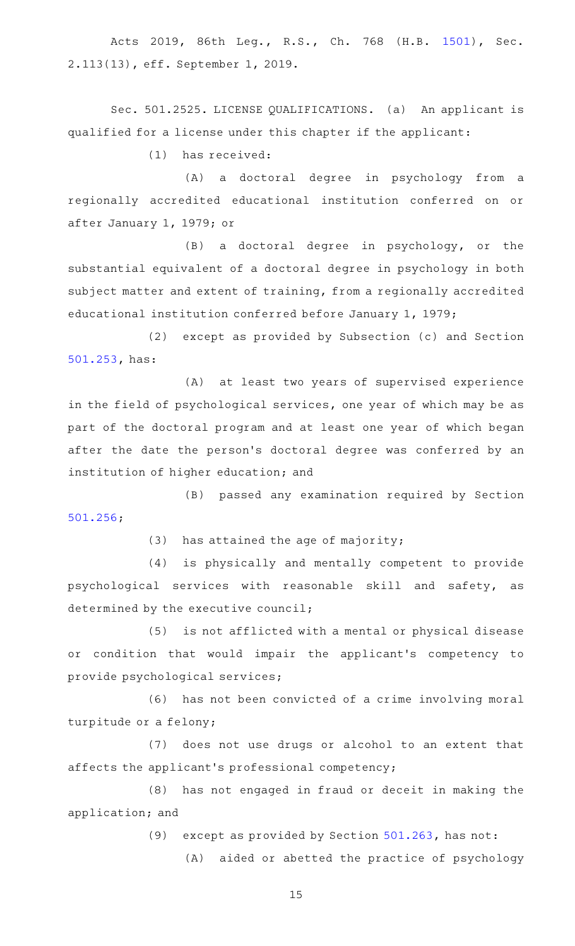Acts 2019, 86th Leg., R.S., Ch. 768 (H.B. [1501\)](http://www.legis.state.tx.us/tlodocs/86R/billtext/html/HB01501F.HTM), Sec. 2.113(13), eff. September 1, 2019.

Sec. 501.2525. LICENSE QUALIFICATIONS. (a) An applicant is qualified for a license under this chapter if the applicant:

 $(1)$  has received:

(A) a doctoral degree in psychology from a regionally accredited educational institution conferred on or after January 1, 1979; or

(B) a doctoral degree in psychology, or the substantial equivalent of a doctoral degree in psychology in both subject matter and extent of training, from a regionally accredited educational institution conferred before January 1, 1979;

(2) except as provided by Subsection (c) and Section [501.253,](http://www.statutes.legis.state.tx.us/GetStatute.aspx?Code=OC&Value=501.253) has:

(A) at least two years of supervised experience in the field of psychological services, one year of which may be as part of the doctoral program and at least one year of which began after the date the person's doctoral degree was conferred by an institution of higher education; and

(B) passed any examination required by Section [501.256;](http://www.statutes.legis.state.tx.us/GetStatute.aspx?Code=OC&Value=501.256)

 $(3)$  has attained the age of majority;

(4) is physically and mentally competent to provide psychological services with reasonable skill and safety, as determined by the executive council;

(5) is not afflicted with a mental or physical disease or condition that would impair the applicant 's competency to provide psychological services;

(6) has not been convicted of a crime involving moral turpitude or a felony;

(7) does not use drugs or alcohol to an extent that affects the applicant 's professional competency;

(8) has not engaged in fraud or deceit in making the application; and

(9) except as provided by Section  $501.263$ , has not:

(A) aided or abetted the practice of psychology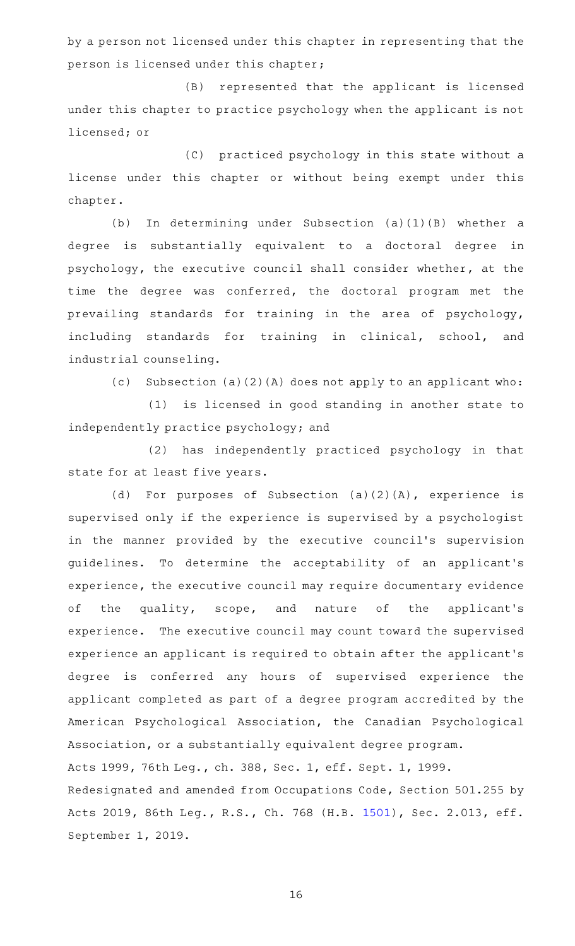by a person not licensed under this chapter in representing that the person is licensed under this chapter;

(B) represented that the applicant is licensed under this chapter to practice psychology when the applicant is not licensed; or

(C) practiced psychology in this state without a license under this chapter or without being exempt under this chapter.

(b) In determining under Subsection (a)(1)(B) whether a degree is substantially equivalent to a doctoral degree in psychology, the executive council shall consider whether, at the time the degree was conferred, the doctoral program met the prevailing standards for training in the area of psychology, including standards for training in clinical, school, and industrial counseling.

(c) Subsection (a)(2)(A) does not apply to an applicant who:

(1) is licensed in good standing in another state to independently practice psychology; and

(2) has independently practiced psychology in that state for at least five years.

(d) For purposes of Subsection  $(a)(2)(A)$ , experience is supervised only if the experience is supervised by a psychologist in the manner provided by the executive council's supervision guidelines. To determine the acceptability of an applicant's experience, the executive council may require documentary evidence of the quality, scope, and nature of the applicant's experience. The executive council may count toward the supervised experience an applicant is required to obtain after the applicant 's degree is conferred any hours of supervised experience the applicant completed as part of a degree program accredited by the American Psychological Association, the Canadian Psychological Association, or a substantially equivalent degree program. Acts 1999, 76th Leg., ch. 388, Sec. 1, eff. Sept. 1, 1999. Redesignated and amended from Occupations Code, Section 501.255 by Acts 2019, 86th Leg., R.S., Ch. 768 (H.B. [1501\)](http://www.legis.state.tx.us/tlodocs/86R/billtext/html/HB01501F.HTM), Sec. 2.013, eff. September 1, 2019.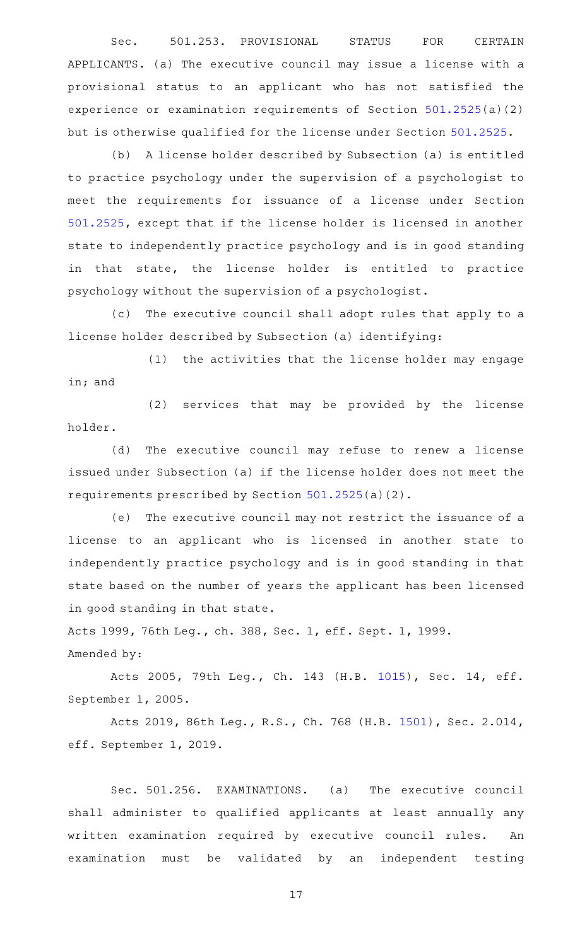Sec. 501.253. PROVISIONAL STATUS FOR CERTAIN APPLICANTS. (a) The executive council may issue a license with a provisional status to an applicant who has not satisfied the experience or examination requirements of Section [501.2525\(](http://www.statutes.legis.state.tx.us/GetStatute.aspx?Code=OC&Value=501.2525)a)(2) but is otherwise qualified for the license under Section [501.2525.](http://www.statutes.legis.state.tx.us/GetStatute.aspx?Code=OC&Value=501.2525)

(b) A license holder described by Subsection (a) is entitled to practice psychology under the supervision of a psychologist to meet the requirements for issuance of a license under Section [501.2525](http://www.statutes.legis.state.tx.us/GetStatute.aspx?Code=OC&Value=501.2525), except that if the license holder is licensed in another state to independently practice psychology and is in good standing in that state, the license holder is entitled to practice psychology without the supervision of a psychologist.

(c) The executive council shall adopt rules that apply to a license holder described by Subsection (a) identifying:

(1) the activities that the license holder may engage in; and

(2) services that may be provided by the license holder.

(d) The executive council may refuse to renew a license issued under Subsection (a) if the license holder does not meet the requirements prescribed by Section [501.2525\(](http://www.statutes.legis.state.tx.us/GetStatute.aspx?Code=OC&Value=501.2525)a)(2).

(e) The executive council may not restrict the issuance of a license to an applicant who is licensed in another state to independently practice psychology and is in good standing in that state based on the number of years the applicant has been licensed in good standing in that state.

Acts 1999, 76th Leg., ch. 388, Sec. 1, eff. Sept. 1, 1999. Amended by:

Acts 2005, 79th Leg., Ch. 143 (H.B. [1015\)](http://www.legis.state.tx.us/tlodocs/79R/billtext/html/HB01015F.HTM), Sec. 14, eff. September 1, 2005.

Acts 2019, 86th Leg., R.S., Ch. 768 (H.B. [1501\)](http://www.legis.state.tx.us/tlodocs/86R/billtext/html/HB01501F.HTM), Sec. 2.014, eff. September 1, 2019.

Sec. 501.256. EXAMINATIONS. (a) The executive council shall administer to qualified applicants at least annually any written examination required by executive council rules. An examination must be validated by an independent testing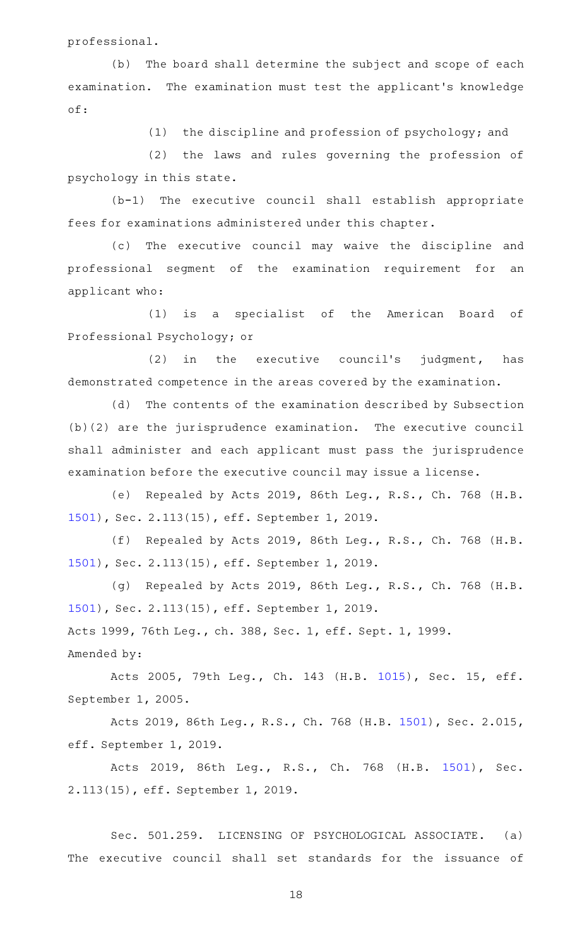professional.

(b) The board shall determine the subject and scope of each examination. The examination must test the applicant 's knowledge of:

(1) the discipline and profession of psychology; and

(2) the laws and rules governing the profession of psychology in this state.

 $(b-1)$  The executive council shall establish appropriate fees for examinations administered under this chapter.

(c) The executive council may waive the discipline and professional segment of the examination requirement for an applicant who:

(1) is a specialist of the American Board of Professional Psychology; or

 $(2)$  in the executive council's judgment, has demonstrated competence in the areas covered by the examination.

(d) The contents of the examination described by Subsection (b)(2) are the jurisprudence examination. The executive council shall administer and each applicant must pass the jurisprudence examination before the executive council may issue a license.

(e) Repealed by Acts 2019, 86th Leg., R.S., Ch. 768 (H.B. [1501](http://www.legis.state.tx.us/tlodocs/86R/billtext/html/HB01501F.HTM)), Sec. 2.113(15), eff. September 1, 2019.

(f) Repealed by Acts 2019, 86th Leg., R.S., Ch. 768 (H.B. [1501](http://www.legis.state.tx.us/tlodocs/86R/billtext/html/HB01501F.HTM)), Sec. 2.113(15), eff. September 1, 2019.

(g) Repealed by Acts 2019, 86th Leg., R.S., Ch. 768 (H.B. [1501](http://www.legis.state.tx.us/tlodocs/86R/billtext/html/HB01501F.HTM)), Sec. 2.113(15), eff. September 1, 2019. Acts 1999, 76th Leg., ch. 388, Sec. 1, eff. Sept. 1, 1999.

Amended by:

Acts 2005, 79th Leg., Ch. 143 (H.B. [1015\)](http://www.legis.state.tx.us/tlodocs/79R/billtext/html/HB01015F.HTM), Sec. 15, eff. September 1, 2005.

Acts 2019, 86th Leg., R.S., Ch. 768 (H.B. [1501\)](http://www.legis.state.tx.us/tlodocs/86R/billtext/html/HB01501F.HTM), Sec. 2.015, eff. September 1, 2019.

Acts 2019, 86th Leg., R.S., Ch. 768 (H.B. [1501\)](http://www.legis.state.tx.us/tlodocs/86R/billtext/html/HB01501F.HTM), Sec. 2.113(15), eff. September 1, 2019.

Sec. 501.259. LICENSING OF PSYCHOLOGICAL ASSOCIATE. (a) The executive council shall set standards for the issuance of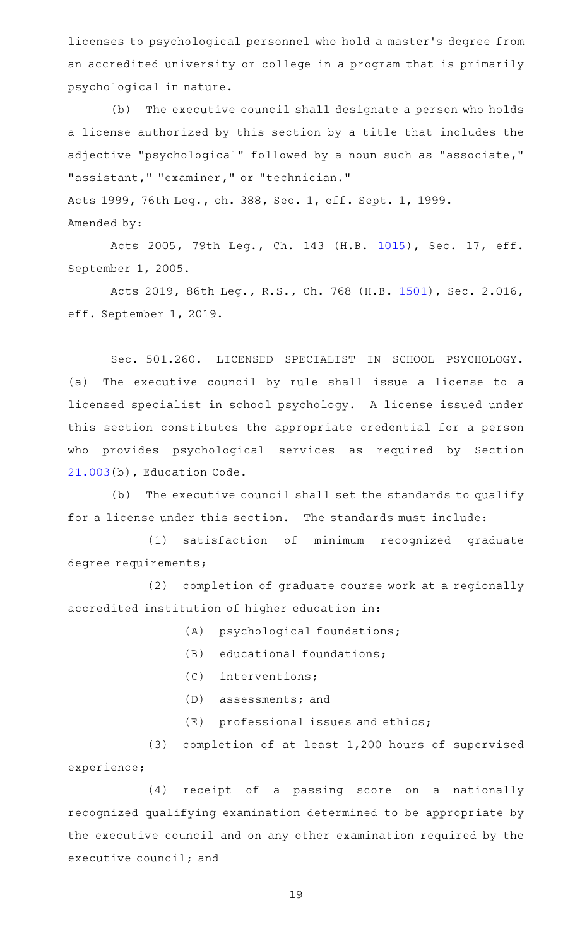licenses to psychological personnel who hold a master 's degree from an accredited university or college in a program that is primarily psychological in nature.

(b) The executive council shall designate a person who holds a license authorized by this section by a title that includes the adjective "psychological" followed by a noun such as "associate," "assistant," "examiner," or "technician." Acts 1999, 76th Leg., ch. 388, Sec. 1, eff. Sept. 1, 1999. Amended by:

Acts 2005, 79th Leg., Ch. 143 (H.B. [1015\)](http://www.legis.state.tx.us/tlodocs/79R/billtext/html/HB01015F.HTM), Sec. 17, eff. September 1, 2005.

Acts 2019, 86th Leg., R.S., Ch. 768 (H.B. [1501\)](http://www.legis.state.tx.us/tlodocs/86R/billtext/html/HB01501F.HTM), Sec. 2.016, eff. September 1, 2019.

Sec. 501.260. LICENSED SPECIALIST IN SCHOOL PSYCHOLOGY. (a) The executive council by rule shall issue a license to a licensed specialist in school psychology. A license issued under this section constitutes the appropriate credential for a person who provides psychological services as required by Section [21.003](http://www.statutes.legis.state.tx.us/GetStatute.aspx?Code=ED&Value=21.003)(b), Education Code.

(b) The executive council shall set the standards to qualify for a license under this section. The standards must include:

(1) satisfaction of minimum recognized graduate degree requirements;

(2) completion of graduate course work at a regionally accredited institution of higher education in:

- (A) psychological foundations;
- (B) educational foundations;
- (C) interventions;
- $(D)$  assessments; and
- $(E)$  professional issues and ethics;

(3) completion of at least  $1,200$  hours of supervised experience;

(4) receipt of a passing score on a nationally recognized qualifying examination determined to be appropriate by the executive council and on any other examination required by the executive council; and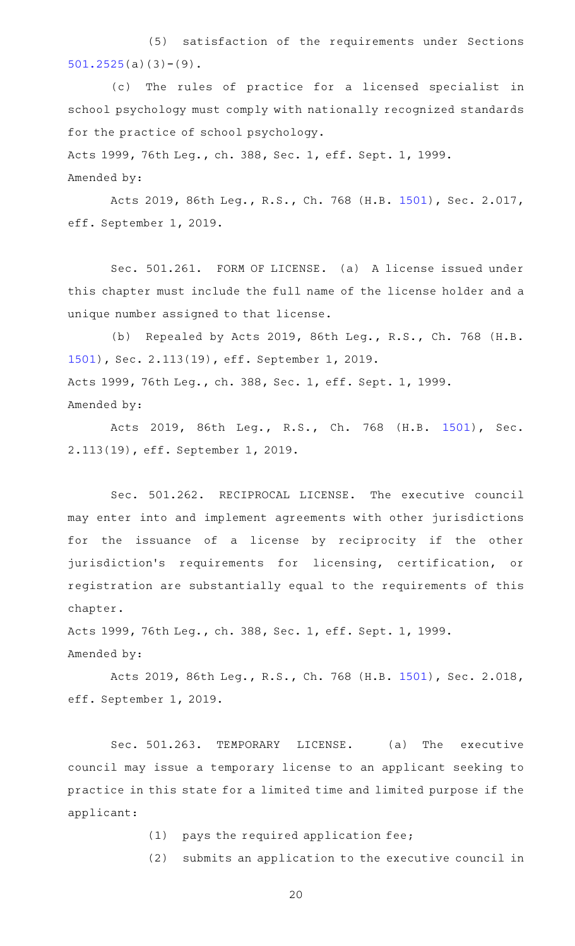(5) satisfaction of the requirements under Sections  $501.2525(a)(3)-(9)$  $501.2525(a)(3)-(9)$ .

(c) The rules of practice for a licensed specialist in school psychology must comply with nationally recognized standards for the practice of school psychology.

Acts 1999, 76th Leg., ch. 388, Sec. 1, eff. Sept. 1, 1999. Amended by:

Acts 2019, 86th Leg., R.S., Ch. 768 (H.B. [1501\)](http://www.legis.state.tx.us/tlodocs/86R/billtext/html/HB01501F.HTM), Sec. 2.017, eff. September 1, 2019.

Sec. 501.261. FORM OF LICENSE. (a) A license issued under this chapter must include the full name of the license holder and a unique number assigned to that license.

(b) Repealed by Acts 2019, 86th Leg., R.S., Ch. 768 (H.B. [1501](http://www.legis.state.tx.us/tlodocs/86R/billtext/html/HB01501F.HTM)), Sec. 2.113(19), eff. September 1, 2019. Acts 1999, 76th Leg., ch. 388, Sec. 1, eff. Sept. 1, 1999. Amended by:

Acts 2019, 86th Leg., R.S., Ch. 768 (H.B. [1501\)](http://www.legis.state.tx.us/tlodocs/86R/billtext/html/HB01501F.HTM), Sec. 2.113(19), eff. September 1, 2019.

Sec. 501.262. RECIPROCAL LICENSE. The executive council may enter into and implement agreements with other jurisdictions for the issuance of a license by reciprocity if the other jurisdiction's requirements for licensing, certification, or registration are substantially equal to the requirements of this chapter.

Acts 1999, 76th Leg., ch. 388, Sec. 1, eff. Sept. 1, 1999.

Amended by:

Acts 2019, 86th Leg., R.S., Ch. 768 (H.B. [1501\)](http://www.legis.state.tx.us/tlodocs/86R/billtext/html/HB01501F.HTM), Sec. 2.018, eff. September 1, 2019.

Sec. 501.263. TEMPORARY LICENSE. (a) The executive council may issue a temporary license to an applicant seeking to practice in this state for a limited time and limited purpose if the applicant:

 $(1)$  pays the required application fee;

(2) submits an application to the executive council in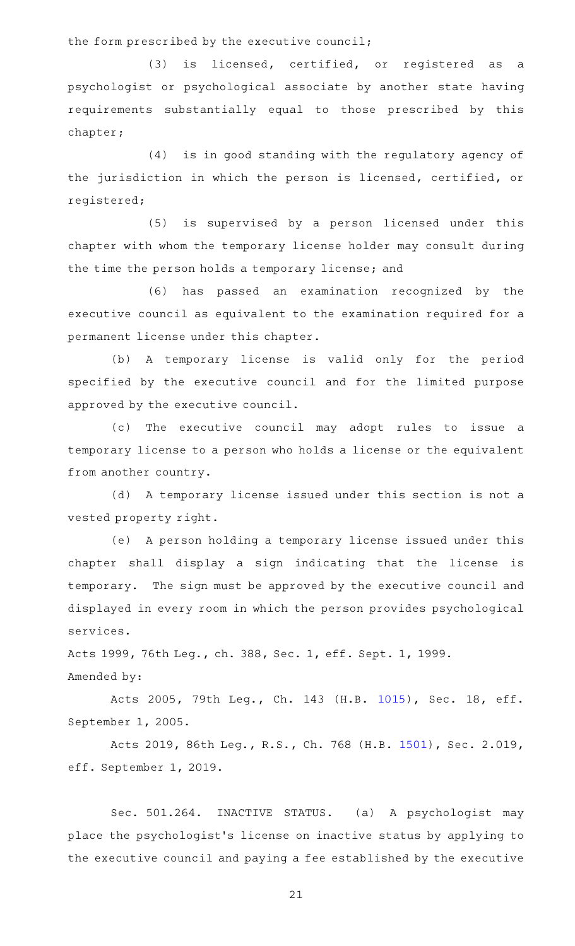the form prescribed by the executive council;

(3) is licensed, certified, or registered as a psychologist or psychological associate by another state having requirements substantially equal to those prescribed by this chapter;

(4) is in good standing with the regulatory agency of the jurisdiction in which the person is licensed, certified, or registered;

 $(5)$  is supervised by a person licensed under this chapter with whom the temporary license holder may consult during the time the person holds a temporary license; and

(6) has passed an examination recognized by the executive council as equivalent to the examination required for a permanent license under this chapter.

(b) A temporary license is valid only for the period specified by the executive council and for the limited purpose approved by the executive council.

(c) The executive council may adopt rules to issue a temporary license to a person who holds a license or the equivalent from another country.

(d) A temporary license issued under this section is not a vested property right.

(e) A person holding a temporary license issued under this chapter shall display a sign indicating that the license is temporary. The sign must be approved by the executive council and displayed in every room in which the person provides psychological services.

Acts 1999, 76th Leg., ch. 388, Sec. 1, eff. Sept. 1, 1999. Amended by:

Acts 2005, 79th Leg., Ch. 143 (H.B. [1015\)](http://www.legis.state.tx.us/tlodocs/79R/billtext/html/HB01015F.HTM), Sec. 18, eff. September 1, 2005.

Acts 2019, 86th Leg., R.S., Ch. 768 (H.B. [1501\)](http://www.legis.state.tx.us/tlodocs/86R/billtext/html/HB01501F.HTM), Sec. 2.019, eff. September 1, 2019.

Sec. 501.264. INACTIVE STATUS. (a) A psychologist may place the psychologist 's license on inactive status by applying to the executive council and paying a fee established by the executive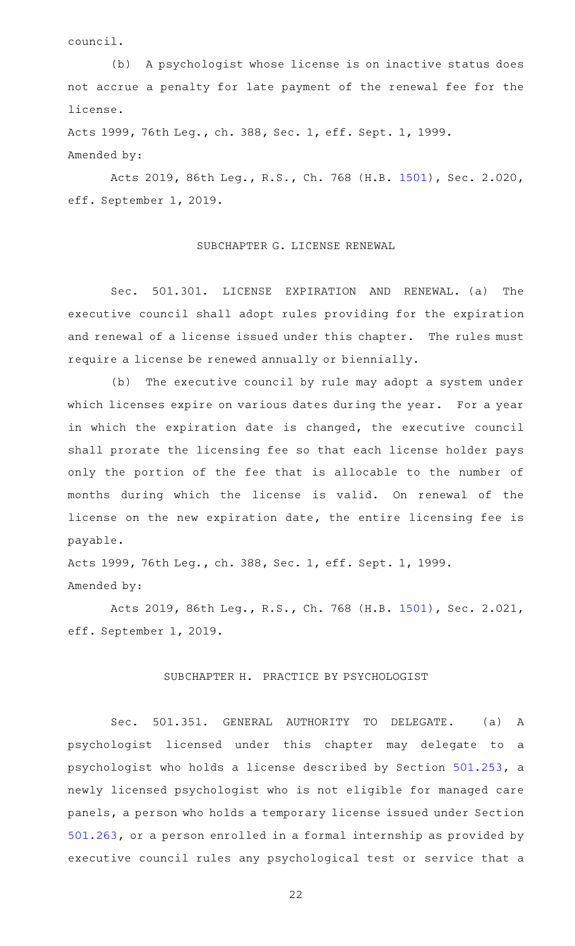council.

(b) A psychologist whose license is on inactive status does not accrue a penalty for late payment of the renewal fee for the license.

Acts 1999, 76th Leg., ch. 388, Sec. 1, eff. Sept. 1, 1999. Amended by:

Acts 2019, 86th Leg., R.S., Ch. 768 (H.B. [1501\)](http://www.legis.state.tx.us/tlodocs/86R/billtext/html/HB01501F.HTM), Sec. 2.020, eff. September 1, 2019.

# SUBCHAPTER G. LICENSE RENEWAL

Sec. 501.301. LICENSE EXPIRATION AND RENEWAL. (a) The executive council shall adopt rules providing for the expiration and renewal of a license issued under this chapter. The rules must require a license be renewed annually or biennially.

(b) The executive council by rule may adopt a system under which licenses expire on various dates during the year. For a year in which the expiration date is changed, the executive council shall prorate the licensing fee so that each license holder pays only the portion of the fee that is allocable to the number of months during which the license is valid. On renewal of the license on the new expiration date, the entire licensing fee is payable.

Acts 1999, 76th Leg., ch. 388, Sec. 1, eff. Sept. 1, 1999. Amended by:

Acts 2019, 86th Leg., R.S., Ch. 768 (H.B. [1501\)](http://www.legis.state.tx.us/tlodocs/86R/billtext/html/HB01501F.HTM), Sec. 2.021, eff. September 1, 2019.

## SUBCHAPTER H. PRACTICE BY PSYCHOLOGIST

Sec. 501.351. GENERAL AUTHORITY TO DELEGATE. (a) A psychologist licensed under this chapter may delegate to a psychologist who holds a license described by Section [501.253](http://www.statutes.legis.state.tx.us/GetStatute.aspx?Code=OC&Value=501.253), a newly licensed psychologist who is not eligible for managed care panels, a person who holds a temporary license issued under Section [501.263,](http://www.statutes.legis.state.tx.us/GetStatute.aspx?Code=OC&Value=501.263) or a person enrolled in a formal internship as provided by executive council rules any psychological test or service that a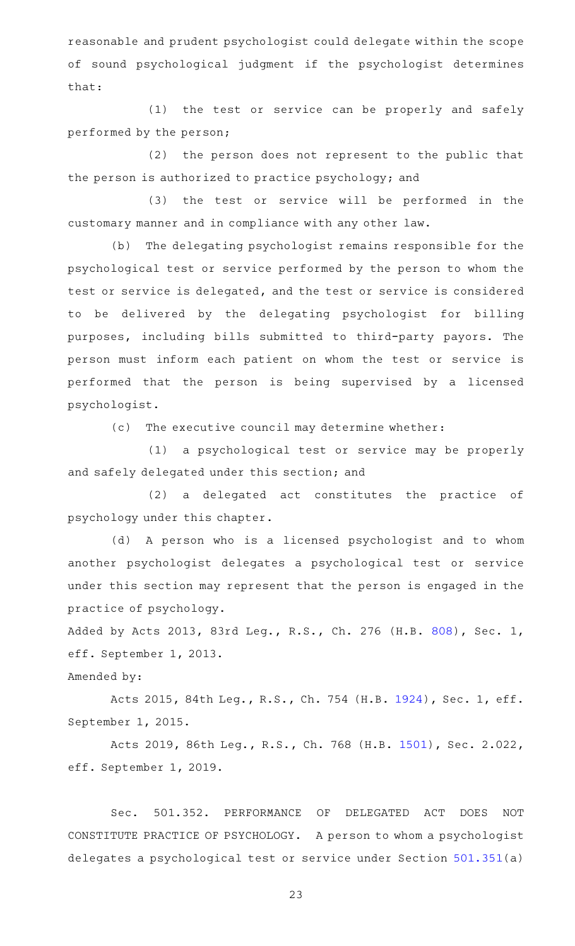reasonable and prudent psychologist could delegate within the scope of sound psychological judgment if the psychologist determines that:

(1) the test or service can be properly and safely performed by the person;

(2) the person does not represent to the public that the person is authorized to practice psychology; and

(3) the test or service will be performed in the customary manner and in compliance with any other law.

(b) The delegating psychologist remains responsible for the psychological test or service performed by the person to whom the test or service is delegated, and the test or service is considered to be delivered by the delegating psychologist for billing purposes, including bills submitted to third-party payors. The person must inform each patient on whom the test or service is performed that the person is being supervised by a licensed psychologist.

(c) The executive council may determine whether:

(1) a psychological test or service may be properly and safely delegated under this section; and

(2) a delegated act constitutes the practice of psychology under this chapter.

(d) A person who is a licensed psychologist and to whom another psychologist delegates a psychological test or service under this section may represent that the person is engaged in the practice of psychology.

Added by Acts 2013, 83rd Leg., R.S., Ch. 276 (H.B. [808](http://www.legis.state.tx.us/tlodocs/83R/billtext/html/HB00808F.HTM)), Sec. 1, eff. September 1, 2013.

Amended by:

Acts 2015, 84th Leg., R.S., Ch. 754 (H.B. [1924](http://www.legis.state.tx.us/tlodocs/84R/billtext/html/HB01924F.HTM)), Sec. 1, eff. September 1, 2015.

Acts 2019, 86th Leg., R.S., Ch. 768 (H.B. [1501\)](http://www.legis.state.tx.us/tlodocs/86R/billtext/html/HB01501F.HTM), Sec. 2.022, eff. September 1, 2019.

Sec. 501.352. PERFORMANCE OF DELEGATED ACT DOES NOT CONSTITUTE PRACTICE OF PSYCHOLOGY. A person to whom a psychologist delegates a psychological test or service under Section [501.351](http://www.statutes.legis.state.tx.us/GetStatute.aspx?Code=OC&Value=501.351)(a)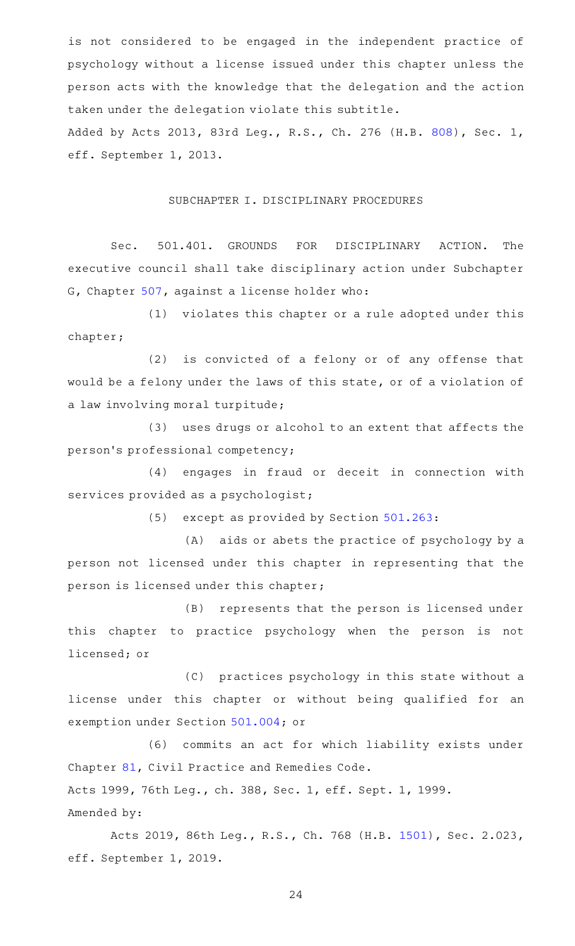is not considered to be engaged in the independent practice of psychology without a license issued under this chapter unless the person acts with the knowledge that the delegation and the action taken under the delegation violate this subtitle. Added by Acts 2013, 83rd Leg., R.S., Ch. 276 (H.B. [808](http://www.legis.state.tx.us/tlodocs/83R/billtext/html/HB00808F.HTM)), Sec. 1,

#### SUBCHAPTER I. DISCIPLINARY PROCEDURES

eff. September 1, 2013.

Sec. 501.401. GROUNDS FOR DISCIPLINARY ACTION. The executive council shall take disciplinary action under Subchapter G, Chapter [507,](http://www.statutes.legis.state.tx.us/GetStatute.aspx?Code=OC&Value=507) against a license holder who:

(1) violates this chapter or a rule adopted under this chapter;

 $(2)$  is convicted of a felony or of any offense that would be a felony under the laws of this state, or of a violation of a law involving moral turpitude;

(3) uses drugs or alcohol to an extent that affects the person 's professional competency;

(4) engages in fraud or deceit in connection with services provided as a psychologist;

(5) except as provided by Section [501.263:](http://www.statutes.legis.state.tx.us/GetStatute.aspx?Code=OC&Value=501.263)

(A) aids or abets the practice of psychology by a person not licensed under this chapter in representing that the person is licensed under this chapter;

(B) represents that the person is licensed under this chapter to practice psychology when the person is not licensed; or

(C) practices psychology in this state without a license under this chapter or without being qualified for an exemption under Section [501.004](http://www.statutes.legis.state.tx.us/GetStatute.aspx?Code=OC&Value=501.004); or

(6) commits an act for which liability exists under Chapter [81,](http://www.statutes.legis.state.tx.us/GetStatute.aspx?Code=CP&Value=81) Civil Practice and Remedies Code. Acts 1999, 76th Leg., ch. 388, Sec. 1, eff. Sept. 1, 1999. Amended by:

Acts 2019, 86th Leg., R.S., Ch. 768 (H.B. [1501\)](http://www.legis.state.tx.us/tlodocs/86R/billtext/html/HB01501F.HTM), Sec. 2.023, eff. September 1, 2019.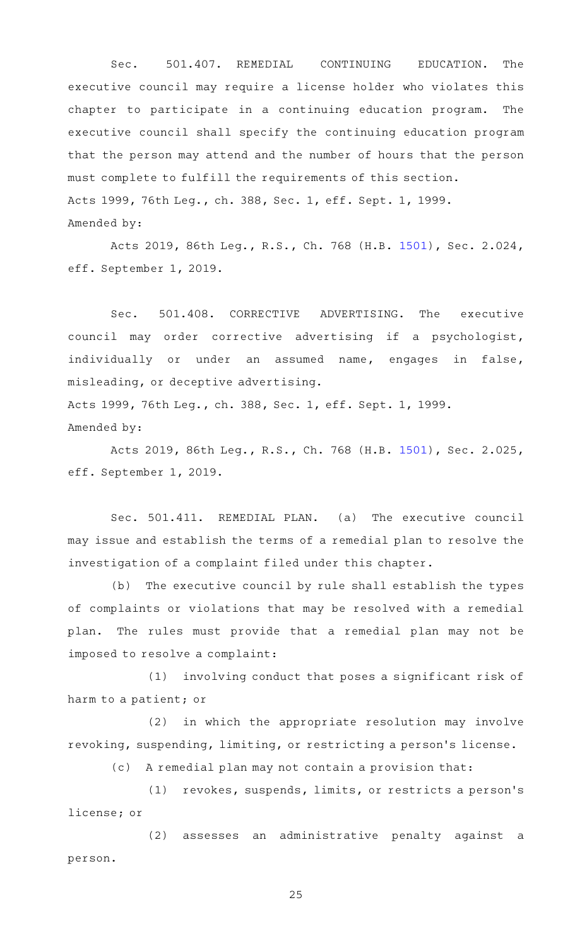Sec. 501.407. REMEDIAL CONTINUING EDUCATION. The executive council may require a license holder who violates this chapter to participate in a continuing education program. The executive council shall specify the continuing education program that the person may attend and the number of hours that the person must complete to fulfill the requirements of this section. Acts 1999, 76th Leg., ch. 388, Sec. 1, eff. Sept. 1, 1999. Amended by:

Acts 2019, 86th Leg., R.S., Ch. 768 (H.B. [1501\)](http://www.legis.state.tx.us/tlodocs/86R/billtext/html/HB01501F.HTM), Sec. 2.024, eff. September 1, 2019.

Sec. 501.408. CORRECTIVE ADVERTISING. The executive council may order corrective advertising if a psychologist, individually or under an assumed name, engages in false, misleading, or deceptive advertising.

Acts 1999, 76th Leg., ch. 388, Sec. 1, eff. Sept. 1, 1999. Amended by:

Acts 2019, 86th Leg., R.S., Ch. 768 (H.B. [1501\)](http://www.legis.state.tx.us/tlodocs/86R/billtext/html/HB01501F.HTM), Sec. 2.025, eff. September 1, 2019.

Sec. 501.411. REMEDIAL PLAN. (a) The executive council may issue and establish the terms of a remedial plan to resolve the investigation of a complaint filed under this chapter.

(b) The executive council by rule shall establish the types of complaints or violations that may be resolved with a remedial plan. The rules must provide that a remedial plan may not be imposed to resolve a complaint:

 $(1)$  involving conduct that poses a significant risk of harm to a patient; or

(2) in which the appropriate resolution may involve revoking, suspending, limiting, or restricting a person 's license.

(c) A remedial plan may not contain a provision that:

(1) revokes, suspends, limits, or restricts a person's license; or

(2) assesses an administrative penalty against a person.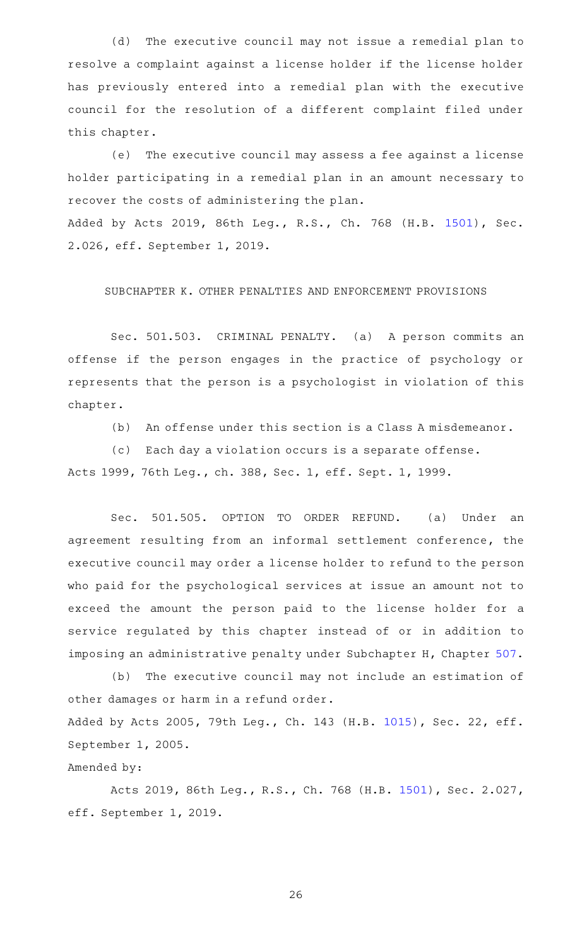(d) The executive council may not issue a remedial plan to resolve a complaint against a license holder if the license holder has previously entered into a remedial plan with the executive council for the resolution of a different complaint filed under this chapter.

(e) The executive council may assess a fee against a license holder participating in a remedial plan in an amount necessary to recover the costs of administering the plan. Added by Acts 2019, 86th Leg., R.S., Ch. 768 (H.B. [1501](http://www.legis.state.tx.us/tlodocs/86R/billtext/html/HB01501F.HTM)), Sec. 2.026, eff. September 1, 2019.

SUBCHAPTER K. OTHER PENALTIES AND ENFORCEMENT PROVISIONS

Sec. 501.503. CRIMINAL PENALTY. (a) A person commits an offense if the person engages in the practice of psychology or represents that the person is a psychologist in violation of this chapter.

(b) An offense under this section is a Class A misdemeanor.

(c) Each day a violation occurs is a separate offense.

Acts 1999, 76th Leg., ch. 388, Sec. 1, eff. Sept. 1, 1999.

Sec. 501.505. OPTION TO ORDER REFUND. (a) Under an agreement resulting from an informal settlement conference, the executive council may order a license holder to refund to the person who paid for the psychological services at issue an amount not to exceed the amount the person paid to the license holder for a service regulated by this chapter instead of or in addition to imposing an administrative penalty under Subchapter H, Chapter [507](http://www.statutes.legis.state.tx.us/GetStatute.aspx?Code=OC&Value=507).

(b) The executive council may not include an estimation of other damages or harm in a refund order. Added by Acts 2005, 79th Leg., Ch. 143 (H.B. [1015](http://www.legis.state.tx.us/tlodocs/79R/billtext/html/HB01015F.HTM)), Sec. 22, eff. September 1, 2005.

# Amended by:

Acts 2019, 86th Leg., R.S., Ch. 768 (H.B. [1501\)](http://www.legis.state.tx.us/tlodocs/86R/billtext/html/HB01501F.HTM), Sec. 2.027, eff. September 1, 2019.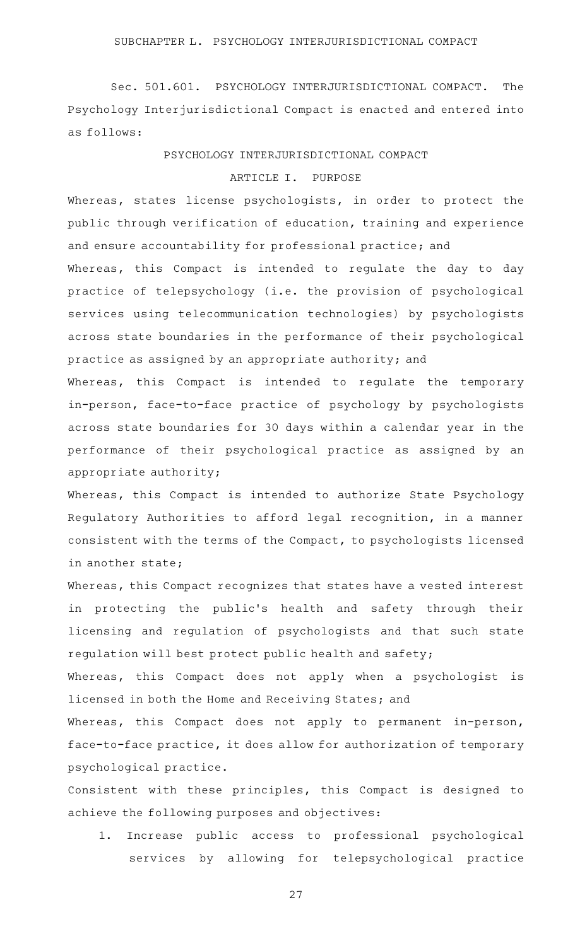Sec. 501.601. PSYCHOLOGY INTERJURISDICTIONAL COMPACT. The Psychology Interjurisdictional Compact is enacted and entered into as follows:

PSYCHOLOGY INTERJURISDICTIONAL COMPACT

# ARTICLE I. PURPOSE

Whereas, states license psychologists, in order to protect the public through verification of education, training and experience and ensure accountability for professional practice; and

Whereas, this Compact is intended to regulate the day to day practice of telepsychology (i.e. the provision of psychological services using telecommunication technologies) by psychologists across state boundaries in the performance of their psychological practice as assigned by an appropriate authority; and

Whereas, this Compact is intended to regulate the temporary in-person, face-to-face practice of psychology by psychologists across state boundaries for 30 days within a calendar year in the performance of their psychological practice as assigned by an appropriate authority;

Whereas, this Compact is intended to authorize State Psychology Regulatory Authorities to afford legal recognition, in a manner consistent with the terms of the Compact, to psychologists licensed in another state;

Whereas, this Compact recognizes that states have a vested interest in protecting the public's health and safety through their licensing and regulation of psychologists and that such state regulation will best protect public health and safety;

Whereas, this Compact does not apply when a psychologist is licensed in both the Home and Receiving States; and

Whereas, this Compact does not apply to permanent in-person, face-to-face practice, it does allow for authorization of temporary psychological practice.

Consistent with these principles, this Compact is designed to achieve the following purposes and objectives:

1. Increase public access to professional psychological services by allowing for telepsychological practice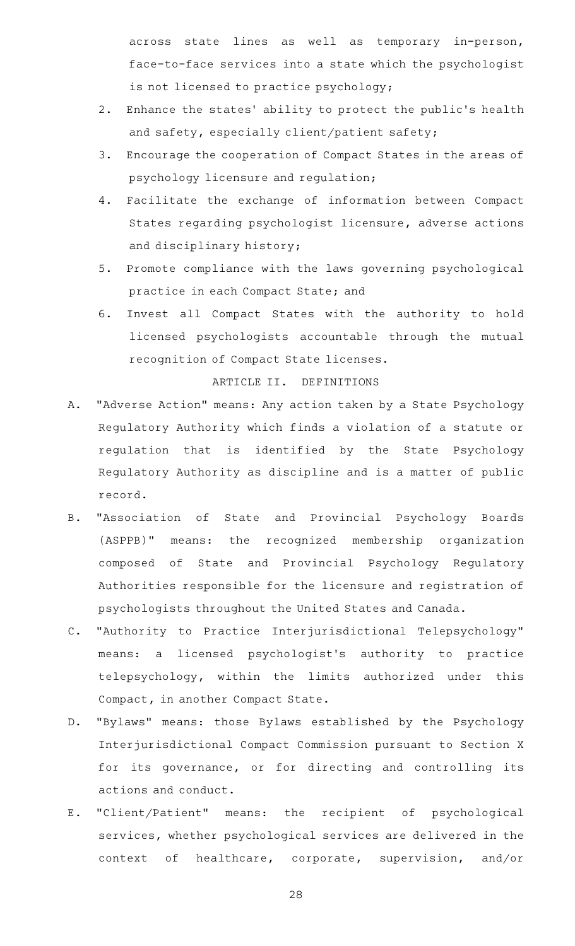across state lines as well as temporary in-person, face-to-face services into a state which the psychologist is not licensed to practice psychology;

- 2. Enhance the states' ability to protect the public's health and safety, especially client/patient safety;
- 3. Encourage the cooperation of Compact States in the areas of psychology licensure and regulation;
- 4. Facilitate the exchange of information between Compact States regarding psychologist licensure, adverse actions and disciplinary history;
- 5. Promote compliance with the laws governing psychological practice in each Compact State; and
- 6. Invest all Compact States with the authority to hold licensed psychologists accountable through the mutual recognition of Compact State licenses.

# ARTICLE II. DEFINITIONS

- A. "Adverse Action" means: Any action taken by a State Psychology Regulatory Authority which finds a violation of a statute or regulation that is identified by the State Psychology Regulatory Authority as discipline and is a matter of public record.
- B. "Association of State and Provincial Psychology Boards (ASPPB)" means: the recognized membership organization composed of State and Provincial Psychology Regulatory Authorities responsible for the licensure and registration of psychologists throughout the United States and Canada.
- C. "Authority to Practice Interjurisdictional Telepsychology" means: a licensed psychologist's authority to practice telepsychology, within the limits authorized under this Compact, in another Compact State.
- D. "Bylaws" means: those Bylaws established by the Psychology Interjurisdictional Compact Commission pursuant to Section X for its governance, or for directing and controlling its actions and conduct.
- E. "Client/Patient" means: the recipient of psychological services, whether psychological services are delivered in the context of healthcare, corporate, supervision, and/or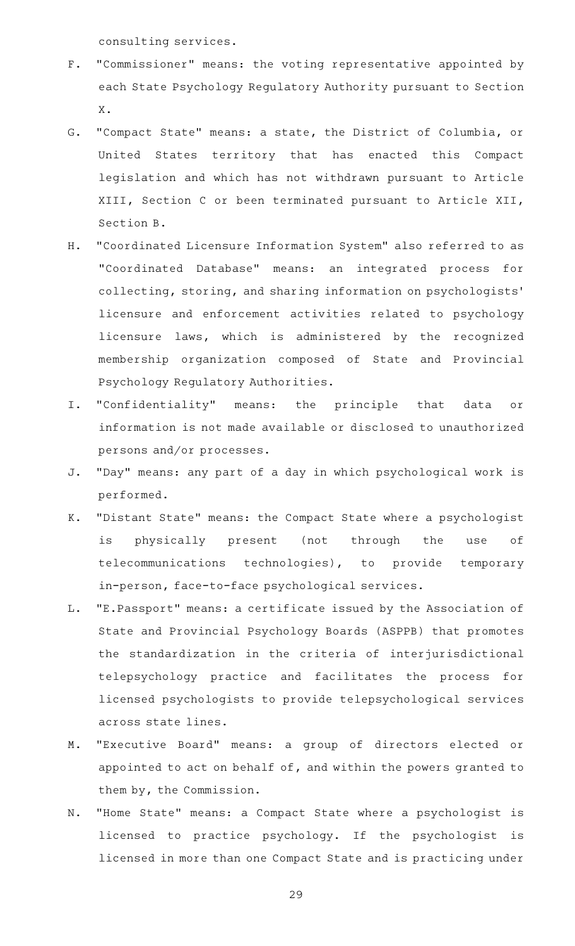consulting services.

- F. "Commissioner" means: the voting representative appointed by each State Psychology Regulatory Authority pursuant to Section X.
- G. "Compact State" means: a state, the District of Columbia, or United States territory that has enacted this Compact legislation and which has not withdrawn pursuant to Article XIII, Section C or been terminated pursuant to Article XII, Section B.
- H. "Coordinated Licensure Information System" also referred to as "Coordinated Database" means: an integrated process for collecting, storing, and sharing information on psychologists ' licensure and enforcement activities related to psychology licensure laws, which is administered by the recognized membership organization composed of State and Provincial Psychology Regulatory Authorities.
- I. "Confidentiality" means: the principle that data or information is not made available or disclosed to unauthorized persons and/or processes.
- J. "Day" means: any part of a day in which psychological work is performed.
- K. "Distant State" means: the Compact State where a psychologist is physically present (not through the use of telecommunications technologies), to provide temporary in-person, face-to-face psychological services.
- L. "E.Passport" means: a certificate issued by the Association of State and Provincial Psychology Boards (ASPPB) that promotes the standardization in the criteria of interjurisdictional telepsychology practice and facilitates the process for licensed psychologists to provide telepsychological services across state lines.
- M. "Executive Board" means: a group of directors elected or appointed to act on behalf of, and within the powers granted to them by, the Commission.
- N. "Home State" means: a Compact State where a psychologist is licensed to practice psychology. If the psychologist is licensed in more than one Compact State and is practicing under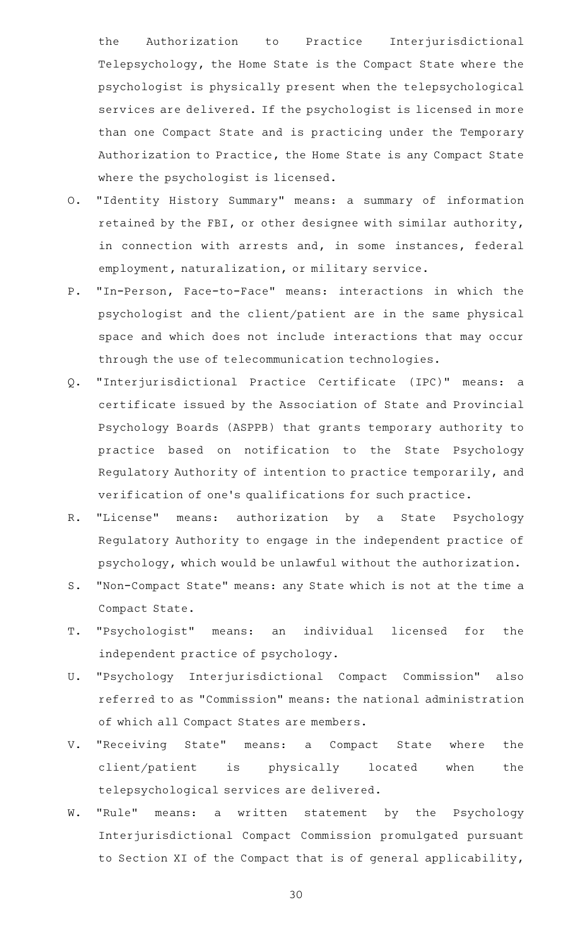the Authorization to Practice Interjurisdictional Telepsychology, the Home State is the Compact State where the psychologist is physically present when the telepsychological services are delivered. If the psychologist is licensed in more than one Compact State and is practicing under the Temporary Authorization to Practice, the Home State is any Compact State where the psychologist is licensed.

- O. "Identity History Summary" means: a summary of information retained by the FBI, or other designee with similar authority, in connection with arrests and, in some instances, federal employment, naturalization, or military service.
- P. "In-Person, Face-to-Face" means: interactions in which the psychologist and the client/patient are in the same physical space and which does not include interactions that may occur through the use of telecommunication technologies.
- Q. "Interjurisdictional Practice Certificate (IPC)" means: a certificate issued by the Association of State and Provincial Psychology Boards (ASPPB) that grants temporary authority to practice based on notification to the State Psychology Regulatory Authority of intention to practice temporarily, and verification of one's qualifications for such practice.
- R. "License" means: authorization by a State Psychology Regulatory Authority to engage in the independent practice of psychology, which would be unlawful without the authorization.
- S. "Non-Compact State" means: any State which is not at the time a Compact State.
- T. "Psychologist" means: an individual licensed for the independent practice of psychology.
- U. "Psychology Interjurisdictional Compact Commission" also referred to as "Commission" means: the national administration of which all Compact States are members.
- V. "Receiving State" means: a Compact State where the client/patient is physically located when the telepsychological services are delivered.
- W. "Rule" means: a written statement by the Psychology Interjurisdictional Compact Commission promulgated pursuant to Section XI of the Compact that is of general applicability,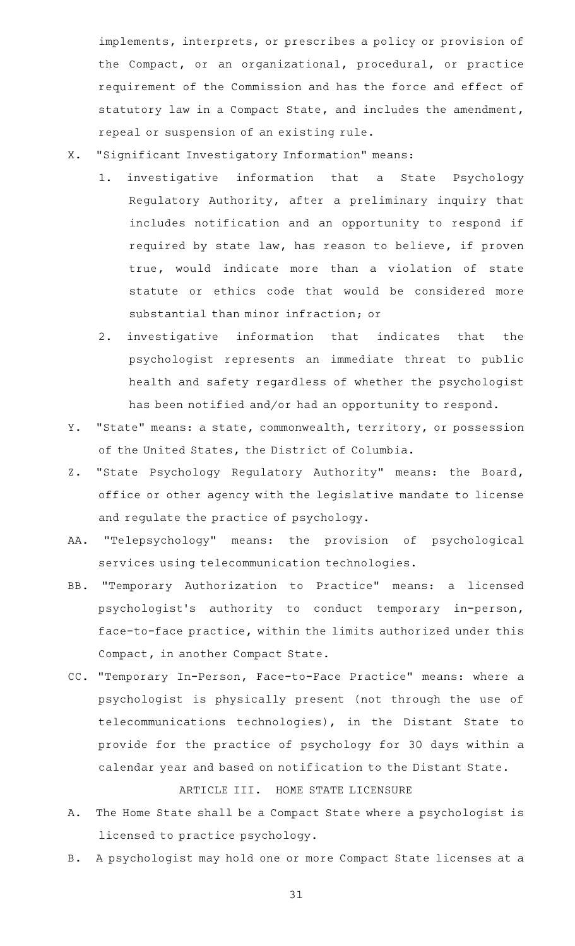implements, interprets, or prescribes a policy or provision of the Compact, or an organizational, procedural, or practice requirement of the Commission and has the force and effect of statutory law in a Compact State, and includes the amendment, repeal or suspension of an existing rule.

- X. "Significant Investigatory Information" means:
	- 1. investigative information that a State Psychology Regulatory Authority, after a preliminary inquiry that includes notification and an opportunity to respond if required by state law, has reason to believe, if proven true, would indicate more than a violation of state statute or ethics code that would be considered more substantial than minor infraction; or
	- 2. investigative information that indicates that the psychologist represents an immediate threat to public health and safety regardless of whether the psychologist has been notified and/or had an opportunity to respond.
- Y. "State" means: a state, commonwealth, territory, or possession of the United States, the District of Columbia.
- Z. "State Psychology Regulatory Authority" means: the Board, office or other agency with the legislative mandate to license and regulate the practice of psychology.
- AA. "Telepsychology" means: the provision of psychological services using telecommunication technologies.
- BB. "Temporary Authorization to Practice" means: a licensed psychologist 's authority to conduct temporary in-person, face-to-face practice, within the limits authorized under this Compact, in another Compact State.
- CC. "Temporary In-Person, Face-to-Face Practice" means: where a psychologist is physically present (not through the use of telecommunications technologies), in the Distant State to provide for the practice of psychology for 30 days within a calendar year and based on notification to the Distant State. ARTICLE III. HOME STATE LICENSURE
- A. The Home State shall be a Compact State where a psychologist is licensed to practice psychology.
- B. A psychologist may hold one or more Compact State licenses at a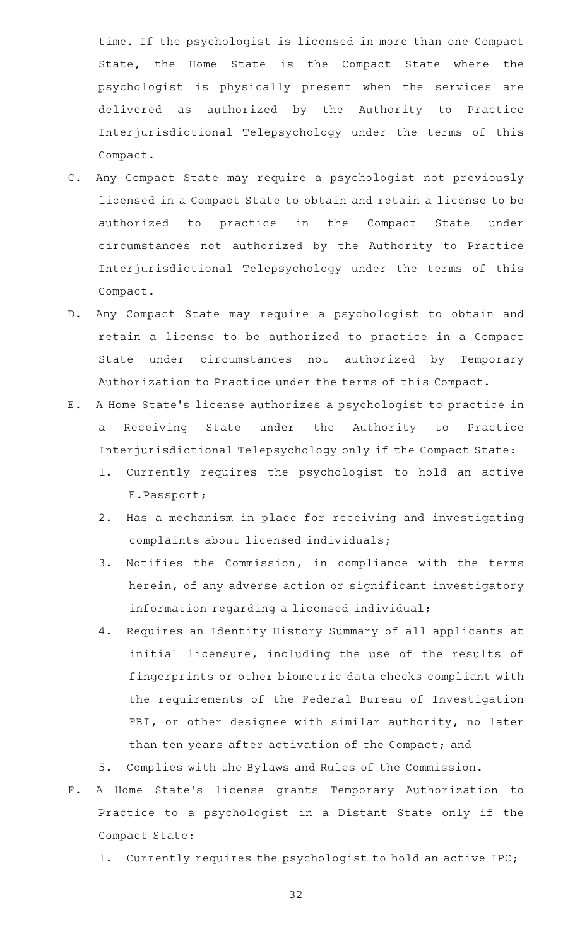time. If the psychologist is licensed in more than one Compact State, the Home State is the Compact State where the psychologist is physically present when the services are delivered as authorized by the Authority to Practice Interjurisdictional Telepsychology under the terms of this Compact.

- C. Any Compact State may require a psychologist not previously licensed in a Compact State to obtain and retain a license to be authorized to practice in the Compact State under circumstances not authorized by the Authority to Practice Interjurisdictional Telepsychology under the terms of this Compact.
- D. Any Compact State may require a psychologist to obtain and retain a license to be authorized to practice in a Compact State under circumstances not authorized by Temporary Authorization to Practice under the terms of this Compact.
- E.AAA Home State 's license authorizes a psychologist to practice in a Receiving State under the Authority to Practice Interjurisdictional Telepsychology only if the Compact State:
	- 1. Currently requires the psychologist to hold an active E.Passport;
	- 2. Has a mechanism in place for receiving and investigating complaints about licensed individuals;
	- 3. Notifies the Commission, in compliance with the terms herein, of any adverse action or significant investigatory information regarding a licensed individual;
	- 4. Requires an Identity History Summary of all applicants at initial licensure, including the use of the results of fingerprints or other biometric data checks compliant with the requirements of the Federal Bureau of Investigation FBI, or other designee with similar authority, no later than ten years after activation of the Compact; and
	- 5. Complies with the Bylaws and Rules of the Commission.
- F. A Home State's license grants Temporary Authorization to Practice to a psychologist in a Distant State only if the Compact State:
	- 1. Currently requires the psychologist to hold an active IPC;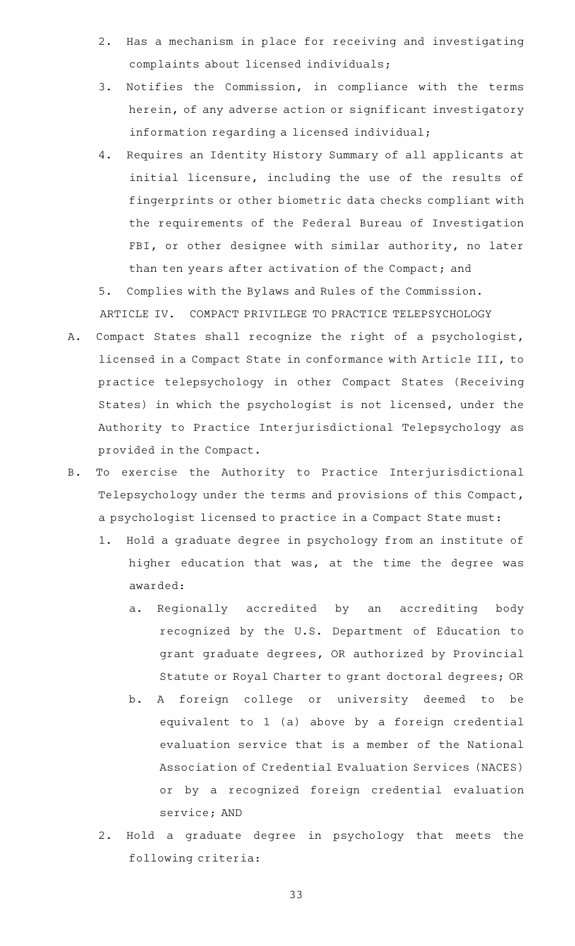- 2. Has a mechanism in place for receiving and investigating complaints about licensed individuals;
- 3. Notifies the Commission, in compliance with the terms herein, of any adverse action or significant investigatory information regarding a licensed individual;
- 4. Requires an Identity History Summary of all applicants at initial licensure, including the use of the results of fingerprints or other biometric data checks compliant with the requirements of the Federal Bureau of Investigation FBI, or other designee with similar authority, no later than ten years after activation of the Compact; and
- 5. Complies with the Bylaws and Rules of the Commission. ARTICLE IV. COMPACT PRIVILEGE TO PRACTICE TELEPSYCHOLOGY
- A. Compact States shall recognize the right of a psychologist, licensed in a Compact State in conformance with Article III, to practice telepsychology in other Compact States (Receiving States) in which the psychologist is not licensed, under the Authority to Practice Interjurisdictional Telepsychology as provided in the Compact.
- B. To exercise the Authority to Practice Interjurisdictional Telepsychology under the terms and provisions of this Compact, a psychologist licensed to practice in a Compact State must:
	- 1. Hold a graduate degree in psychology from an institute of higher education that was, at the time the degree was awarded:
		- a. Regionally accredited by an accrediting body recognized by the U.S. Department of Education to grant graduate degrees, OR authorized by Provincial Statute or Royal Charter to grant doctoral degrees; OR
		- b. A foreign college or university deemed to be equivalent to 1 (a) above by a foreign credential evaluation service that is a member of the National Association of Credential Evaluation Services (NACES) or by a recognized foreign credential evaluation service; AND
	- 2. Hold a graduate degree in psychology that meets the following criteria: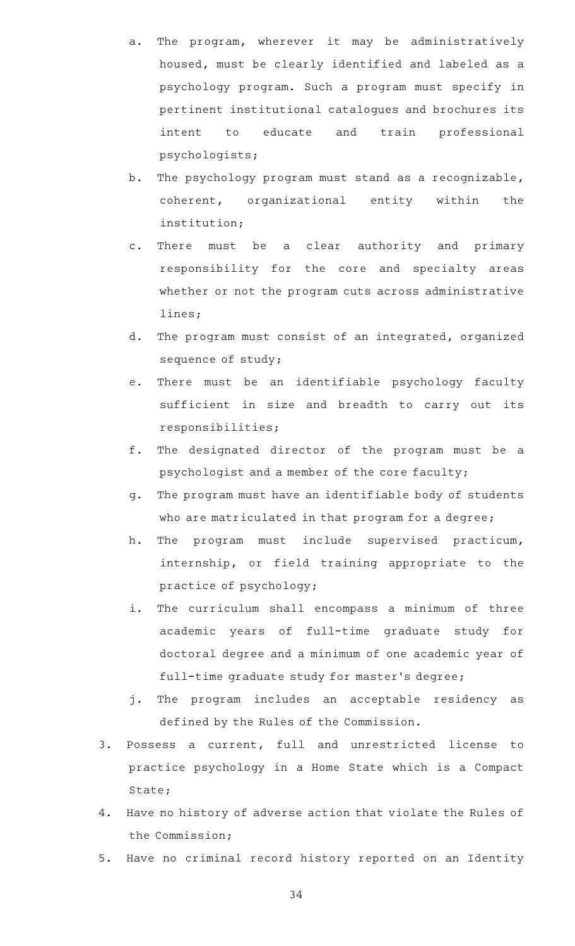- a. The program, wherever it may be administratively housed, must be clearly identified and labeled as a psychology program. Such a program must specify in pertinent institutional catalogues and brochures its intent to educate and train professional psychologists;
- b. The psychology program must stand as a recognizable, coherent, organizational entity within the institution;
- c. There must be a clear authority and primary responsibility for the core and specialty areas whether or not the program cuts across administrative lines;
- d. The program must consist of an integrated, organized sequence of study;
- e. There must be an identifiable psychology faculty sufficient in size and breadth to carry out its responsibilities;
- f. The designated director of the program must be a psychologist and a member of the core faculty;
- g. The program must have an identifiable body of students who are matriculated in that program for a degree;
- h. The program must include supervised practicum, internship, or field training appropriate to the practice of psychology;
- i. The curriculum shall encompass a minimum of three academic years of full-time graduate study for doctoral degree and a minimum of one academic year of full-time graduate study for master 's degree;
- j. The program includes an acceptable residency as defined by the Rules of the Commission.
- 3. Possess a current, full and unrestricted license to practice psychology in a Home State which is a Compact State;
- 4. Have no history of adverse action that violate the Rules of the Commission;
- 5. Have no criminal record history reported on an Identity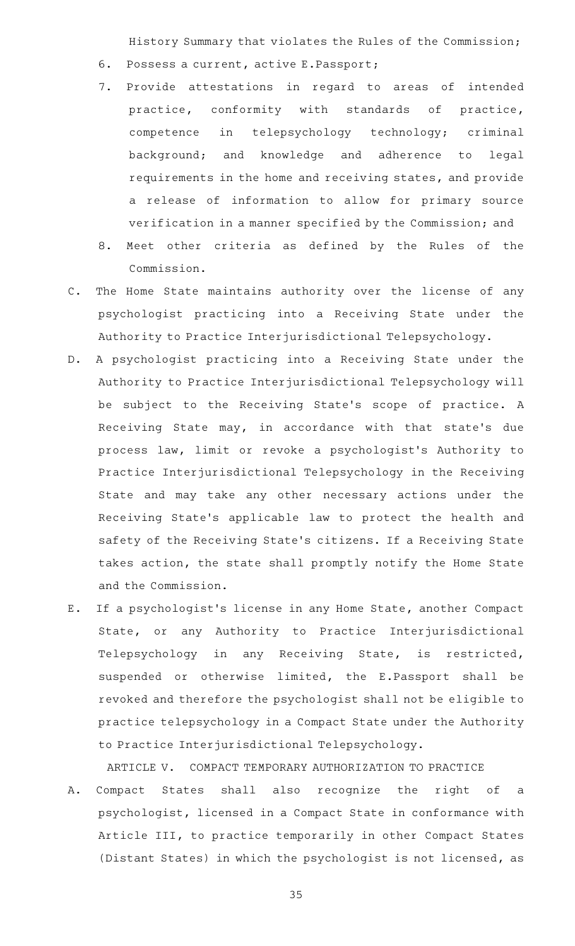History Summary that violates the Rules of the Commission;

- 6. Possess a current, active E.Passport;
- 7. Provide attestations in regard to areas of intended practice, conformity with standards of practice, competence in telepsychology technology; criminal background; and knowledge and adherence to legal requirements in the home and receiving states, and provide a release of information to allow for primary source verification in a manner specified by the Commission; and
- 8. Meet other criteria as defined by the Rules of the Commission.
- C. The Home State maintains authority over the license of any psychologist practicing into a Receiving State under the Authority to Practice Interjurisdictional Telepsychology.
- D. A psychologist practicing into a Receiving State under the Authority to Practice Interjurisdictional Telepsychology will be subject to the Receiving State's scope of practice. A Receiving State may, in accordance with that state's due process law, limit or revoke a psychologist 's Authority to Practice Interjurisdictional Telepsychology in the Receiving State and may take any other necessary actions under the Receiving State's applicable law to protect the health and safety of the Receiving State 's citizens. If a Receiving State takes action, the state shall promptly notify the Home State and the Commission.
- E. If a psychologist's license in any Home State, another Compact State, or any Authority to Practice Interjurisdictional Telepsychology in any Receiving State, is restricted, suspended or otherwise limited, the E.Passport shall be revoked and therefore the psychologist shall not be eligible to practice telepsychology in a Compact State under the Authority to Practice Interjurisdictional Telepsychology.

ARTICLE V. COMPACT TEMPORARY AUTHORIZATION TO PRACTICE

A. Compact States shall also recognize the right of a psychologist, licensed in a Compact State in conformance with Article III, to practice temporarily in other Compact States (Distant States) in which the psychologist is not licensed, as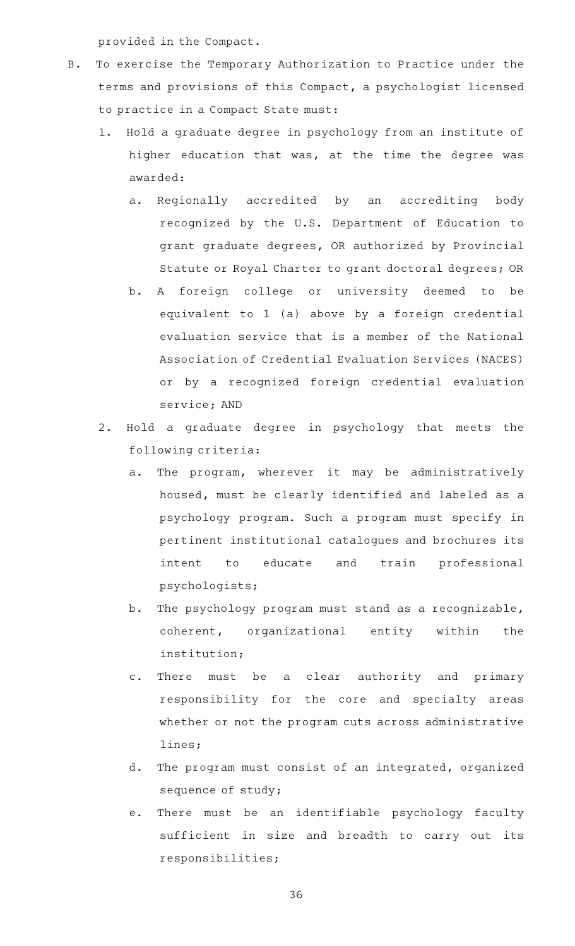provided in the Compact.

- B. To exercise the Temporary Authorization to Practice under the terms and provisions of this Compact, a psychologist licensed to practice in a Compact State must:
	- 1. Hold a graduate degree in psychology from an institute of higher education that was, at the time the degree was awarded:
		- a. Regionally accredited by an accrediting body recognized by the U.S. Department of Education to grant graduate degrees, OR authorized by Provincial Statute or Royal Charter to grant doctoral degrees; OR
		- b. A foreign college or university deemed to be equivalent to 1 (a) above by a foreign credential evaluation service that is a member of the National Association of Credential Evaluation Services (NACES) or by a recognized foreign credential evaluation service; AND
	- 2. Hold a graduate degree in psychology that meets the following criteria:
		- a. The program, wherever it may be administratively housed, must be clearly identified and labeled as a psychology program. Such a program must specify in pertinent institutional catalogues and brochures its intent to educate and train professional psychologists;
		- b. The psychology program must stand as a recognizable, coherent, organizational entity within the institution;
		- c. There must be a clear authority and primary responsibility for the core and specialty areas whether or not the program cuts across administrative lines;
		- d. The program must consist of an integrated, organized sequence of study;
		- e. There must be an identifiable psychology faculty sufficient in size and breadth to carry out its responsibilities;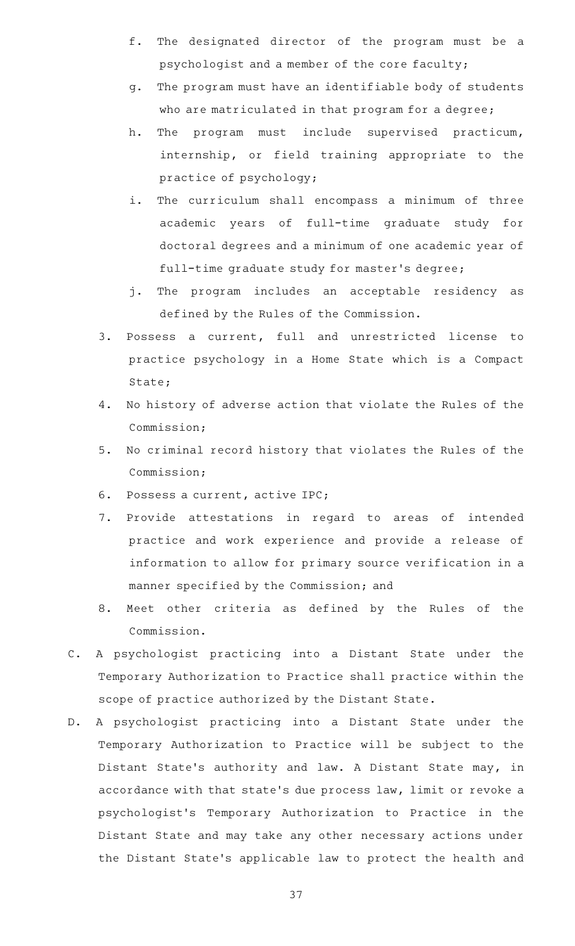- f. The designated director of the program must be a psychologist and a member of the core faculty;
- g. The program must have an identifiable body of students who are matriculated in that program for a degree;
- h. The program must include supervised practicum, internship, or field training appropriate to the practice of psychology;
- i. The curriculum shall encompass a minimum of three academic years of full-time graduate study for doctoral degrees and a minimum of one academic year of full-time graduate study for master 's degree;
- j. The program includes an acceptable residency as defined by the Rules of the Commission.
- 3. Possess a current, full and unrestricted license to practice psychology in a Home State which is a Compact State;
- 4. No history of adverse action that violate the Rules of the Commission;
- 5. No criminal record history that violates the Rules of the Commission;
- 6. Possess a current, active IPC;
- 7. Provide attestations in regard to areas of intended practice and work experience and provide a release of information to allow for primary source verification in a manner specified by the Commission; and
- 8. Meet other criteria as defined by the Rules of the Commission.
- C. A psychologist practicing into a Distant State under the Temporary Authorization to Practice shall practice within the scope of practice authorized by the Distant State.
- D. A psychologist practicing into a Distant State under the Temporary Authorization to Practice will be subject to the Distant State's authority and law. A Distant State may, in accordance with that state 's due process law, limit or revoke a psychologist 's Temporary Authorization to Practice in the Distant State and may take any other necessary actions under the Distant State 's applicable law to protect the health and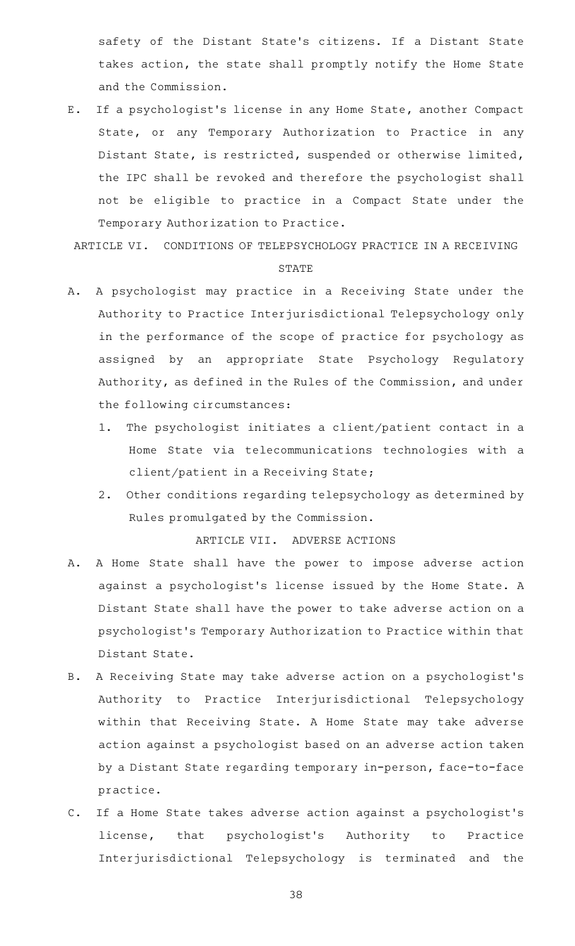safety of the Distant State 's citizens. If a Distant State takes action, the state shall promptly notify the Home State and the Commission.

E. If a psychologist's license in any Home State, another Compact State, or any Temporary Authorization to Practice in any Distant State, is restricted, suspended or otherwise limited, the IPC shall be revoked and therefore the psychologist shall not be eligible to practice in a Compact State under the Temporary Authorization to Practice.

ARTICLE VI. CONDITIONS OF TELEPSYCHOLOGY PRACTICE IN A RECEIVING

#### STATE

- A. A psychologist may practice in a Receiving State under the Authority to Practice Interjurisdictional Telepsychology only in the performance of the scope of practice for psychology as assigned by an appropriate State Psychology Regulatory Authority, as defined in the Rules of the Commission, and under the following circumstances:
	- 1. The psychologist initiates a client/patient contact in a Home State via telecommunications technologies with a client/patient in a Receiving State;
	- 2. Other conditions regarding telepsychology as determined by Rules promulgated by the Commission.

ARTICLE VII. ADVERSE ACTIONS

- A. A Home State shall have the power to impose adverse action against a psychologist 's license issued by the Home State. A Distant State shall have the power to take adverse action on a psychologist 's Temporary Authorization to Practice within that Distant State.
- B. A Receiving State may take adverse action on a psychologist's Authority to Practice Interjurisdictional Telepsychology within that Receiving State. A Home State may take adverse action against a psychologist based on an adverse action taken by a Distant State regarding temporary in-person, face-to-face practice.
- C. If a Home State takes adverse action against a psychologist's license, that psychologist's Authority to Practice Interjurisdictional Telepsychology is terminated and the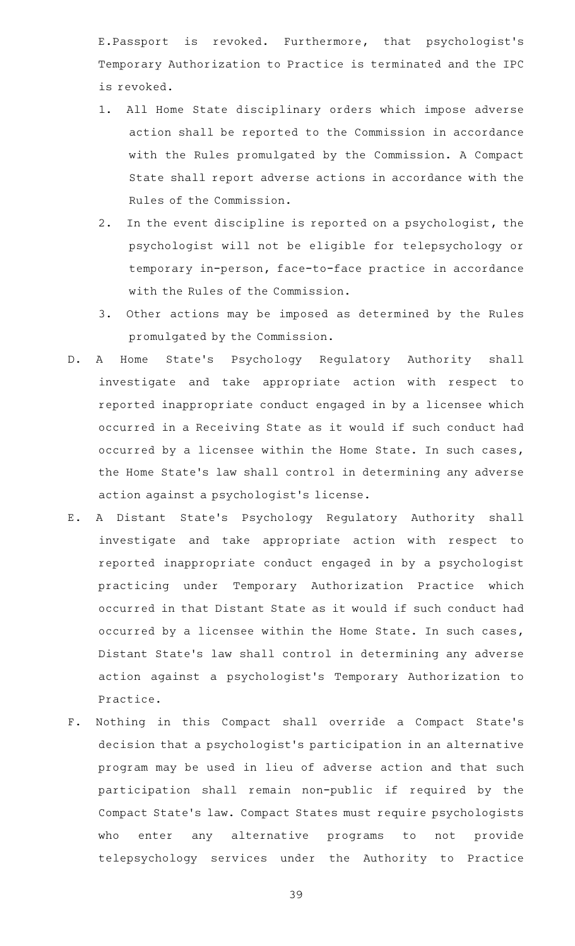E.Passport is revoked. Furthermore, that psychologist 's Temporary Authorization to Practice is terminated and the IPC is revoked.

- 1. All Home State disciplinary orders which impose adverse action shall be reported to the Commission in accordance with the Rules promulgated by the Commission. A Compact State shall report adverse actions in accordance with the Rules of the Commission.
- 2. In the event discipline is reported on a psychologist, the psychologist will not be eligible for telepsychology or temporary in-person, face-to-face practice in accordance with the Rules of the Commission.
- 3. Other actions may be imposed as determined by the Rules promulgated by the Commission.
- D. A Home State's Psychology Regulatory Authority shall investigate and take appropriate action with respect to reported inappropriate conduct engaged in by a licensee which occurred in a Receiving State as it would if such conduct had occurred by a licensee within the Home State. In such cases, the Home State's law shall control in determining any adverse action against a psychologist 's license.
- E. A Distant State's Psychology Regulatory Authority shall investigate and take appropriate action with respect to reported inappropriate conduct engaged in by a psychologist practicing under Temporary Authorization Practice which occurred in that Distant State as it would if such conduct had occurred by a licensee within the Home State. In such cases, Distant State 's law shall control in determining any adverse action against a psychologist 's Temporary Authorization to Practice.
- F. Nothing in this Compact shall override a Compact State's decision that a psychologist 's participation in an alternative program may be used in lieu of adverse action and that such participation shall remain non-public if required by the Compact State 's law. Compact States must require psychologists who enter any alternative programs to not provide telepsychology services under the Authority to Practice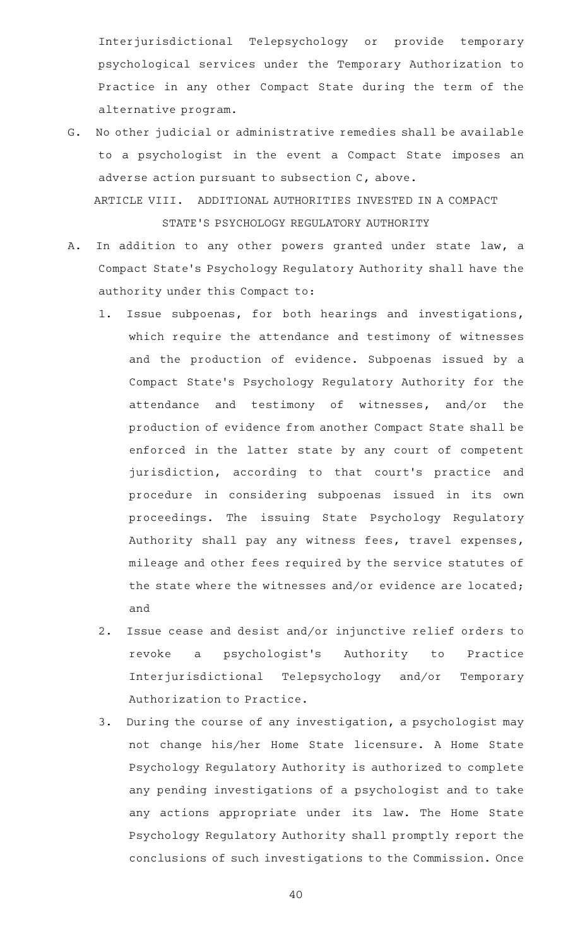Interjurisdictional Telepsychology or provide temporary psychological services under the Temporary Authorization to Practice in any other Compact State during the term of the alternative program.

G. No other judicial or administrative remedies shall be available to a psychologist in the event a Compact State imposes an adverse action pursuant to subsection C, above. ARTICLE VIII. ADDITIONAL AUTHORITIES INVESTED IN A COMPACT

STATE 'S PSYCHOLOGY REGULATORY AUTHORITY

- A. In addition to any other powers granted under state law, a Compact State 's Psychology Regulatory Authority shall have the authority under this Compact to:
	- 1. Issue subpoenas, for both hearings and investigations, which require the attendance and testimony of witnesses and the production of evidence. Subpoenas issued by a Compact State 's Psychology Regulatory Authority for the attendance and testimony of witnesses, and/or the production of evidence from another Compact State shall be enforced in the latter state by any court of competent jurisdiction, according to that court's practice and procedure in considering subpoenas issued in its own proceedings. The issuing State Psychology Regulatory Authority shall pay any witness fees, travel expenses, mileage and other fees required by the service statutes of the state where the witnesses and/or evidence are located; and
	- 2. Issue cease and desist and/or injunctive relief orders to revoke a psychologist 's Authority to Practice Interjurisdictional Telepsychology and/or Temporary Authorization to Practice.
	- 3. During the course of any investigation, a psychologist may not change his/her Home State licensure. A Home State Psychology Regulatory Authority is authorized to complete any pending investigations of a psychologist and to take any actions appropriate under its law. The Home State Psychology Regulatory Authority shall promptly report the conclusions of such investigations to the Commission. Once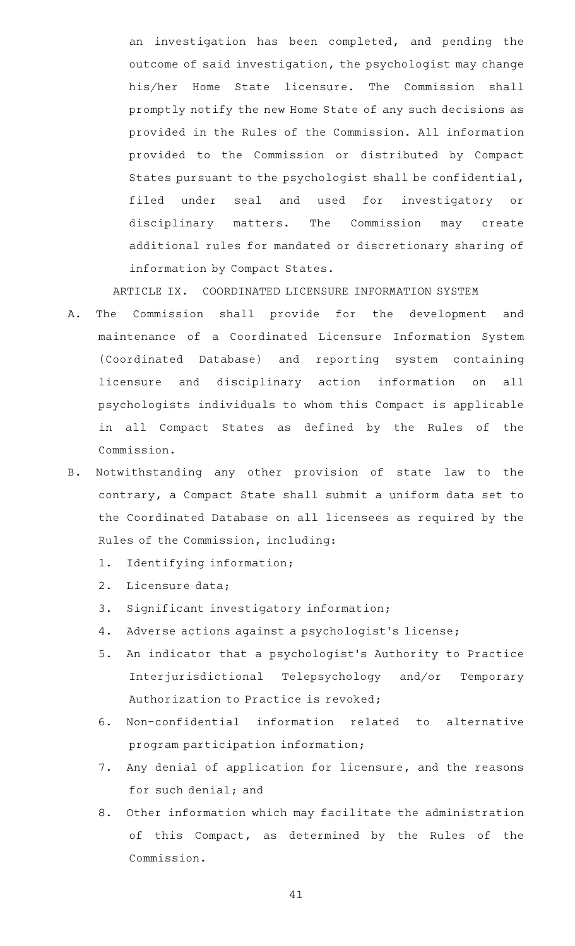an investigation has been completed, and pending the outcome of said investigation, the psychologist may change his/her Home State licensure. The Commission shall promptly notify the new Home State of any such decisions as provided in the Rules of the Commission. All information provided to the Commission or distributed by Compact States pursuant to the psychologist shall be confidential, filed under seal and used for investigatory or disciplinary matters. The Commission may create additional rules for mandated or discretionary sharing of information by Compact States.

ARTICLE IX. COORDINATED LICENSURE INFORMATION SYSTEM

- A. The Commission shall provide for the development and maintenance of a Coordinated Licensure Information System (Coordinated Database) and reporting system containing licensure and disciplinary action information on all psychologists individuals to whom this Compact is applicable in all Compact States as defined by the Rules of the Commission.
- B. Notwithstanding any other provision of state law to the contrary, a Compact State shall submit a uniform data set to the Coordinated Database on all licensees as required by the Rules of the Commission, including:
	- 1. Identifying information;
	- 2. Licensure data;
	- 3. Significant investigatory information;
	- 4. Adverse actions against a psychologist's license;
	- 5. An indicator that a psychologist's Authority to Practice Interjurisdictional Telepsychology and/or Temporary Authorization to Practice is revoked;
	- 6. Non-confidential information related to alternative program participation information;
	- 7. Any denial of application for licensure, and the reasons for such denial; and
	- 8. Other information which may facilitate the administration of this Compact, as determined by the Rules of the Commission.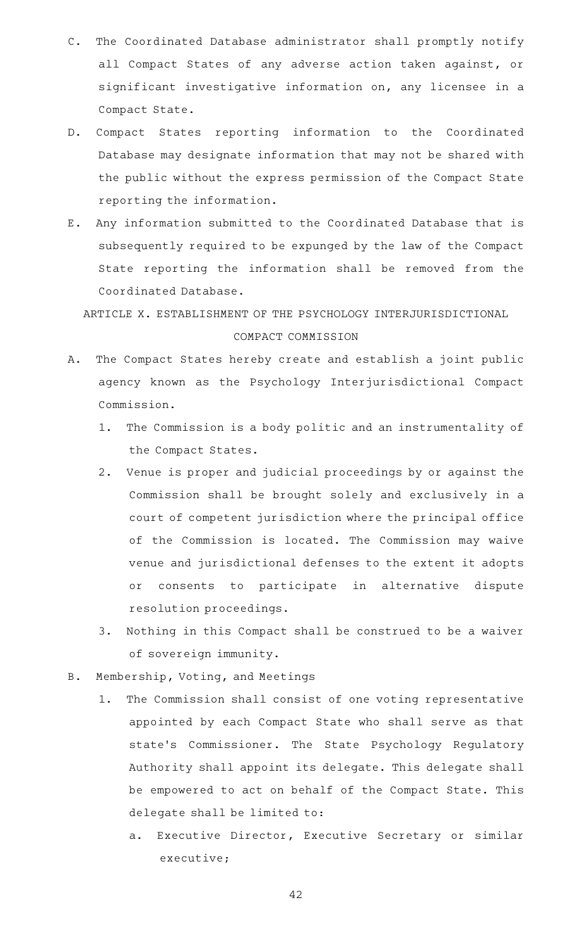- C. The Coordinated Database administrator shall promptly notify all Compact States of any adverse action taken against, or significant investigative information on, any licensee in a Compact State.
- D. Compact States reporting information to the Coordinated Database may designate information that may not be shared with the public without the express permission of the Compact State reporting the information.
- E. Any information submitted to the Coordinated Database that is subsequently required to be expunged by the law of the Compact State reporting the information shall be removed from the Coordinated Database.

ARTICLE X. ESTABLISHMENT OF THE PSYCHOLOGY INTERJURISDICTIONAL COMPACT COMMISSION

- A. The Compact States hereby create and establish a joint public agency known as the Psychology Interjurisdictional Compact Commission.
	- 1. The Commission is a body politic and an instrumentality of the Compact States.
	- 2. Venue is proper and judicial proceedings by or against the Commission shall be brought solely and exclusively in a court of competent jurisdiction where the principal office of the Commission is located. The Commission may waive venue and jurisdictional defenses to the extent it adopts or consents to participate in alternative dispute resolution proceedings.
	- 3. Nothing in this Compact shall be construed to be a waiver of sovereign immunity.
- B. Membership, Voting, and Meetings
	- 1. The Commission shall consist of one voting representative appointed by each Compact State who shall serve as that state 's Commissioner. The State Psychology Regulatory Authority shall appoint its delegate. This delegate shall be empowered to act on behalf of the Compact State. This delegate shall be limited to:
		- a. Executive Director, Executive Secretary or similar executive;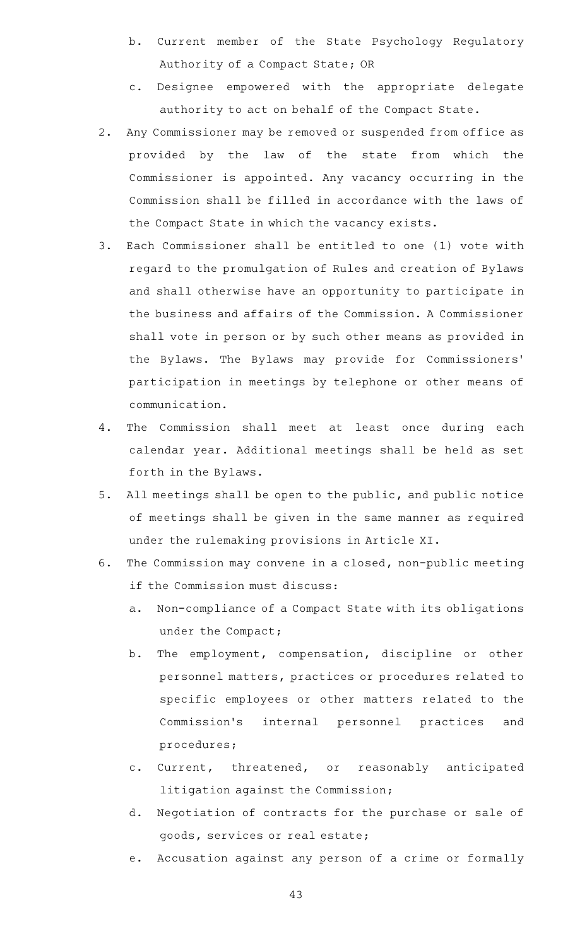- b. Current member of the State Psychology Regulatory Authority of a Compact State; OR
- c. Designee empowered with the appropriate delegate authority to act on behalf of the Compact State.
- 2. Any Commissioner may be removed or suspended from office as provided by the law of the state from which the Commissioner is appointed. Any vacancy occurring in the Commission shall be filled in accordance with the laws of the Compact State in which the vacancy exists.
- 3. Each Commissioner shall be entitled to one (1) vote with regard to the promulgation of Rules and creation of Bylaws and shall otherwise have an opportunity to participate in the business and affairs of the Commission. A Commissioner shall vote in person or by such other means as provided in the Bylaws. The Bylaws may provide for Commissioners ' participation in meetings by telephone or other means of communication.
- 4. The Commission shall meet at least once during each calendar year. Additional meetings shall be held as set forth in the Bylaws.
- 5. All meetings shall be open to the public, and public notice of meetings shall be given in the same manner as required under the rulemaking provisions in Article XI.
- 6. The Commission may convene in a closed, non-public meeting if the Commission must discuss:
	- a. Non-compliance of a Compact State with its obligations under the Compact;
	- b. The employment, compensation, discipline or other personnel matters, practices or procedures related to specific employees or other matters related to the Commission's internal personnel practices and procedures;
	- c. Current, threatened, or reasonably anticipated litigation against the Commission;
	- d. Negotiation of contracts for the purchase or sale of goods, services or real estate;
	- e. Accusation against any person of a crime or formally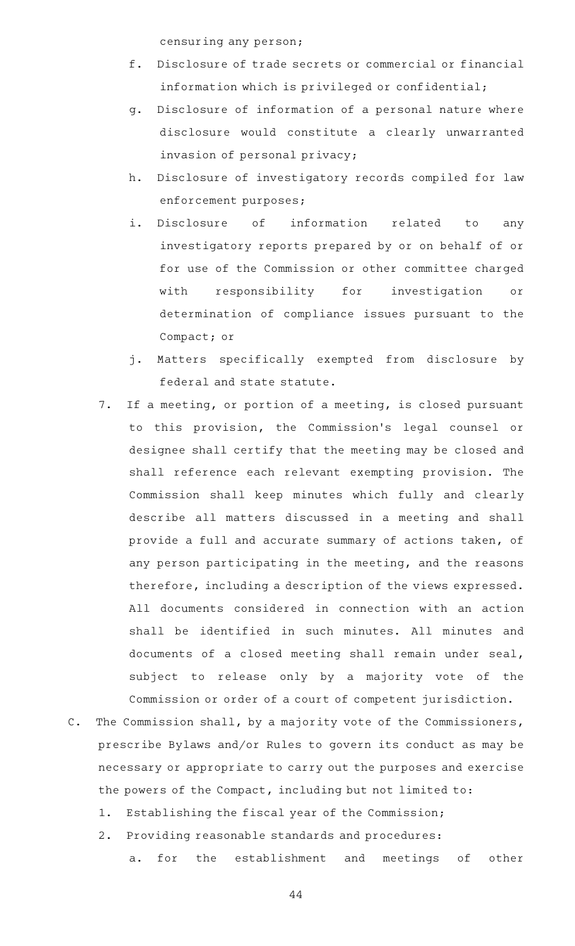censuring any person;

- f. Disclosure of trade secrets or commercial or financial information which is privileged or confidential;
- g. Disclosure of information of a personal nature where disclosure would constitute a clearly unwarranted invasion of personal privacy;
- h. Disclosure of investigatory records compiled for law enforcement purposes;
- i. Disclosure of information related to any investigatory reports prepared by or on behalf of or for use of the Commission or other committee charged with responsibility for investigation or determination of compliance issues pursuant to the Compact; or
- j. Matters specifically exempted from disclosure by federal and state statute.
- 7. If a meeting, or portion of a meeting, is closed pursuant to this provision, the Commission 's legal counsel or designee shall certify that the meeting may be closed and shall reference each relevant exempting provision. The Commission shall keep minutes which fully and clearly describe all matters discussed in a meeting and shall provide a full and accurate summary of actions taken, of any person participating in the meeting, and the reasons therefore, including a description of the views expressed. All documents considered in connection with an action shall be identified in such minutes. All minutes and documents of a closed meeting shall remain under seal, subject to release only by a majority vote of the Commission or order of a court of competent jurisdiction.
- C. The Commission shall, by a majority vote of the Commissioners, prescribe Bylaws and/or Rules to govern its conduct as may be necessary or appropriate to carry out the purposes and exercise the powers of the Compact, including but not limited to:
	- 1. Establishing the fiscal year of the Commission;
	- 2. Providing reasonable standards and procedures: a. for the establishment and meetings of other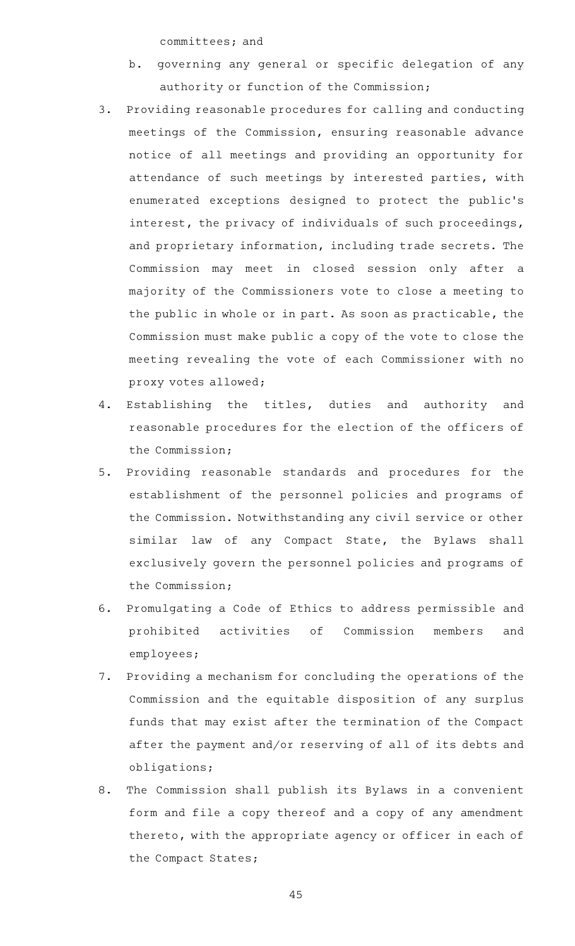committees; and

- b. governing any general or specific delegation of any authority or function of the Commission;
- 3. Providing reasonable procedures for calling and conducting meetings of the Commission, ensuring reasonable advance notice of all meetings and providing an opportunity for attendance of such meetings by interested parties, with enumerated exceptions designed to protect the public 's interest, the privacy of individuals of such proceedings, and proprietary information, including trade secrets. The Commission may meet in closed session only after a majority of the Commissioners vote to close a meeting to the public in whole or in part. As soon as practicable, the Commission must make public a copy of the vote to close the meeting revealing the vote of each Commissioner with no proxy votes allowed;
- 4. Establishing the titles, duties and authority and reasonable procedures for the election of the officers of the Commission;
- 5. Providing reasonable standards and procedures for the establishment of the personnel policies and programs of the Commission. Notwithstanding any civil service or other similar law of any Compact State, the Bylaws shall exclusively govern the personnel policies and programs of the Commission;
- 6. Promulgating a Code of Ethics to address permissible and prohibited activities of Commission members and employees;
- 7. Providing a mechanism for concluding the operations of the Commission and the equitable disposition of any surplus funds that may exist after the termination of the Compact after the payment and/or reserving of all of its debts and obligations;
- 8. The Commission shall publish its Bylaws in a convenient form and file a copy thereof and a copy of any amendment thereto, with the appropriate agency or officer in each of the Compact States;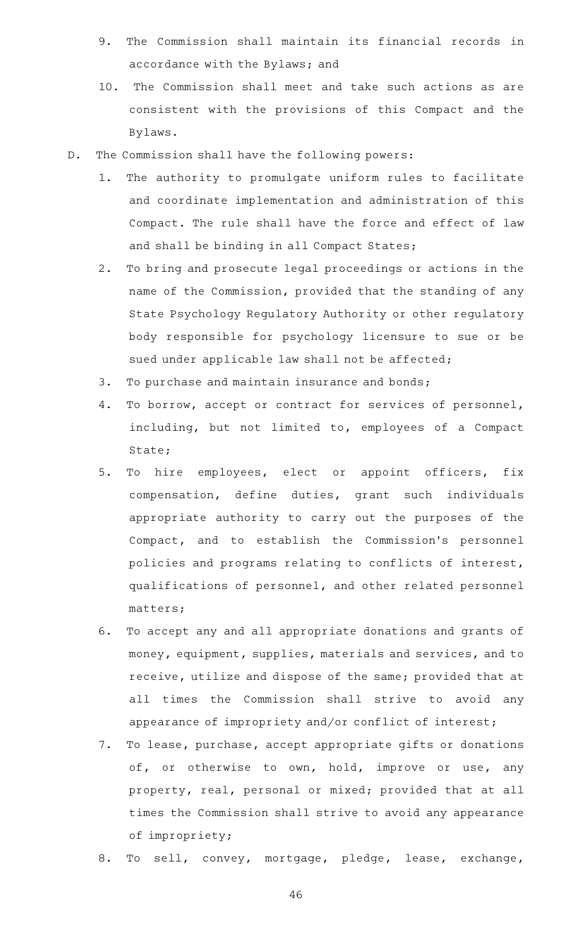- 9. The Commission shall maintain its financial records in accordance with the Bylaws; and
- 10. The Commission shall meet and take such actions as are consistent with the provisions of this Compact and the Bylaws.
- D. The Commission shall have the following powers:
	- 1. The authority to promulgate uniform rules to facilitate and coordinate implementation and administration of this Compact. The rule shall have the force and effect of law and shall be binding in all Compact States;
	- 2. To bring and prosecute legal proceedings or actions in the name of the Commission, provided that the standing of any State Psychology Regulatory Authority or other regulatory body responsible for psychology licensure to sue or be sued under applicable law shall not be affected;
	- 3. To purchase and maintain insurance and bonds;
	- 4. To borrow, accept or contract for services of personnel, including, but not limited to, employees of a Compact State;
	- 5. To hire employees, elect or appoint officers, fix compensation, define duties, grant such individuals appropriate authority to carry out the purposes of the Compact, and to establish the Commission 's personnel policies and programs relating to conflicts of interest, qualifications of personnel, and other related personnel matters;
	- 6. To accept any and all appropriate donations and grants of money, equipment, supplies, materials and services, and to receive, utilize and dispose of the same; provided that at all times the Commission shall strive to avoid any appearance of impropriety and/or conflict of interest;
	- 7. To lease, purchase, accept appropriate gifts or donations of, or otherwise to own, hold, improve or use, any property, real, personal or mixed; provided that at all times the Commission shall strive to avoid any appearance of impropriety;
	- 8. To sell, convey, mortgage, pledge, lease, exchange,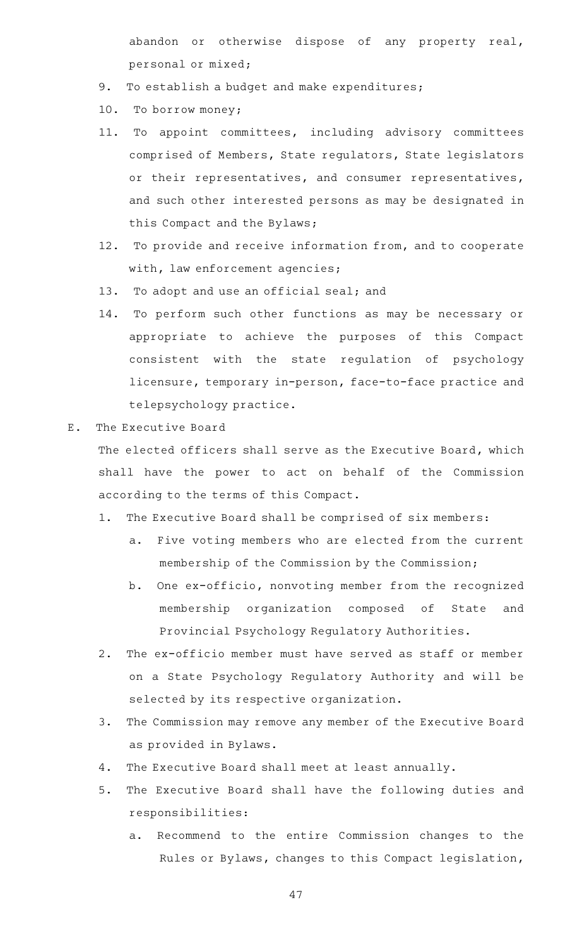abandon or otherwise dispose of any property real, personal or mixed;

- 9. To establish a budget and make expenditures;
- 10. To borrow money;
- 11. To appoint committees, including advisory committees comprised of Members, State regulators, State legislators or their representatives, and consumer representatives, and such other interested persons as may be designated in this Compact and the Bylaws;
- 12. To provide and receive information from, and to cooperate with, law enforcement agencies;
- 13. To adopt and use an official seal; and
- 14. To perform such other functions as may be necessary or appropriate to achieve the purposes of this Compact consistent with the state regulation of psychology licensure, temporary in-person, face-to-face practice and telepsychology practice.
- E. The Executive Board

The elected officers shall serve as the Executive Board, which shall have the power to act on behalf of the Commission according to the terms of this Compact.

- 1. The Executive Board shall be comprised of six members:
	- a. Five voting members who are elected from the current membership of the Commission by the Commission;
	- b. One ex-officio, nonvoting member from the recognized membership organization composed of State and Provincial Psychology Regulatory Authorities.
- 2. The ex-officio member must have served as staff or member on a State Psychology Regulatory Authority and will be selected by its respective organization.
- 3. The Commission may remove any member of the Executive Board as provided in Bylaws.
- 4. The Executive Board shall meet at least annually.
- 5. The Executive Board shall have the following duties and responsibilities:
	- a. Recommend to the entire Commission changes to the Rules or Bylaws, changes to this Compact legislation,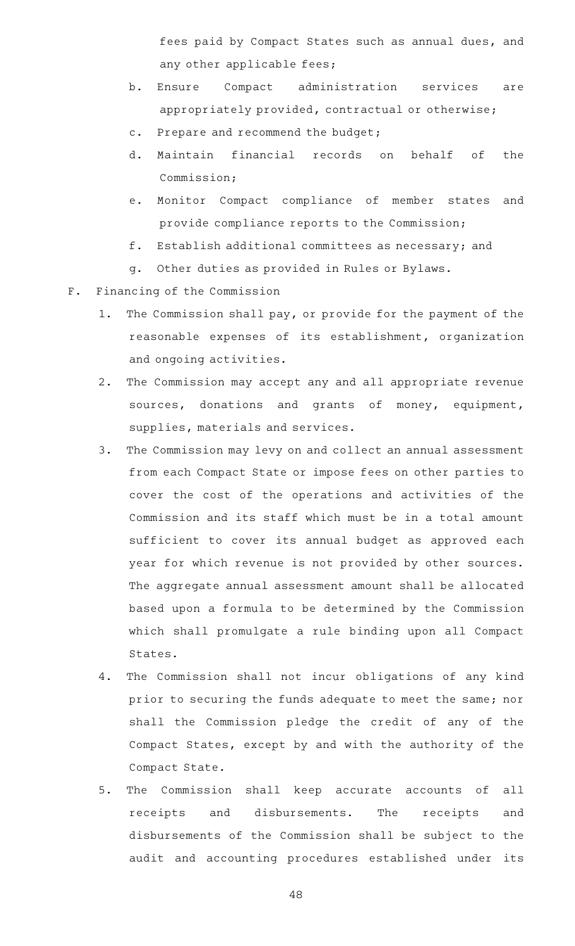fees paid by Compact States such as annual dues, and any other applicable fees;

- b. Ensure Compact administration services are appropriately provided, contractual or otherwise;
- c. Prepare and recommend the budget;
- d. Maintain financial records on behalf of the Commission;
- e. Monitor Compact compliance of member states and provide compliance reports to the Commission;
- f. Establish additional committees as necessary; and
- g. Other duties as provided in Rules or Bylaws.
- F. Financing of the Commission
	- 1. The Commission shall pay, or provide for the payment of the reasonable expenses of its establishment, organization and ongoing activities.
	- 2. The Commission may accept any and all appropriate revenue sources, donations and grants of money, equipment, supplies, materials and services.
	- 3. The Commission may levy on and collect an annual assessment from each Compact State or impose fees on other parties to cover the cost of the operations and activities of the Commission and its staff which must be in a total amount sufficient to cover its annual budget as approved each year for which revenue is not provided by other sources. The aggregate annual assessment amount shall be allocated based upon a formula to be determined by the Commission which shall promulgate a rule binding upon all Compact States.
	- 4. The Commission shall not incur obligations of any kind prior to securing the funds adequate to meet the same; nor shall the Commission pledge the credit of any of the Compact States, except by and with the authority of the Compact State.
	- 5. The Commission shall keep accurate accounts of all receipts and disbursements. The receipts and disbursements of the Commission shall be subject to the audit and accounting procedures established under its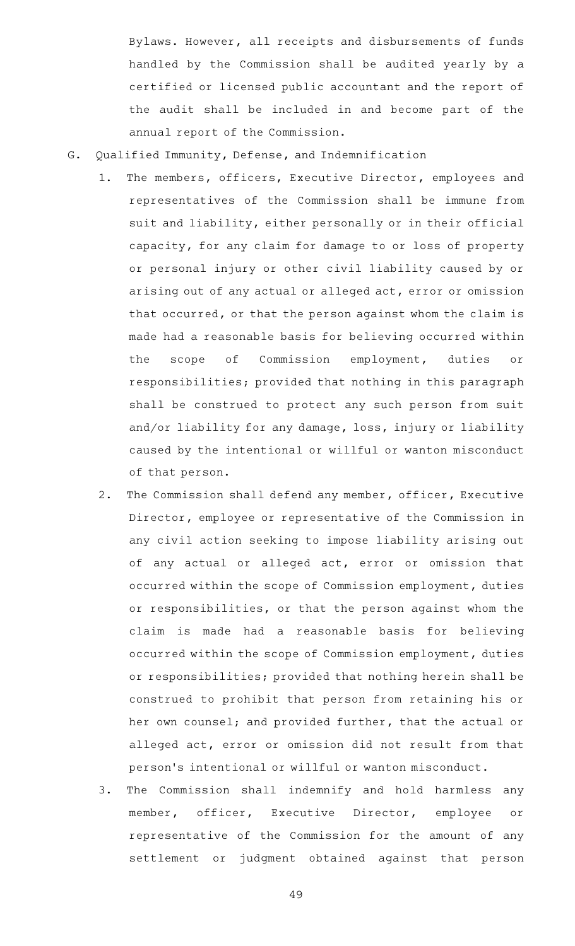Bylaws. However, all receipts and disbursements of funds handled by the Commission shall be audited yearly by a certified or licensed public accountant and the report of the audit shall be included in and become part of the annual report of the Commission.

- G. Qualified Immunity, Defense, and Indemnification
	- 1. The members, officers, Executive Director, employees and representatives of the Commission shall be immune from suit and liability, either personally or in their official capacity, for any claim for damage to or loss of property or personal injury or other civil liability caused by or arising out of any actual or alleged act, error or omission that occurred, or that the person against whom the claim is made had a reasonable basis for believing occurred within the scope of Commission employment, duties or responsibilities; provided that nothing in this paragraph shall be construed to protect any such person from suit and/or liability for any damage, loss, injury or liability caused by the intentional or willful or wanton misconduct of that person.
	- 2. The Commission shall defend any member, officer, Executive Director, employee or representative of the Commission in any civil action seeking to impose liability arising out of any actual or alleged act, error or omission that occurred within the scope of Commission employment, duties or responsibilities, or that the person against whom the claim is made had a reasonable basis for believing occurred within the scope of Commission employment, duties or responsibilities; provided that nothing herein shall be construed to prohibit that person from retaining his or her own counsel; and provided further, that the actual or alleged act, error or omission did not result from that person 's intentional or willful or wanton misconduct.
	- 3. The Commission shall indemnify and hold harmless any member, officer, Executive Director, employee or representative of the Commission for the amount of any settlement or judgment obtained against that person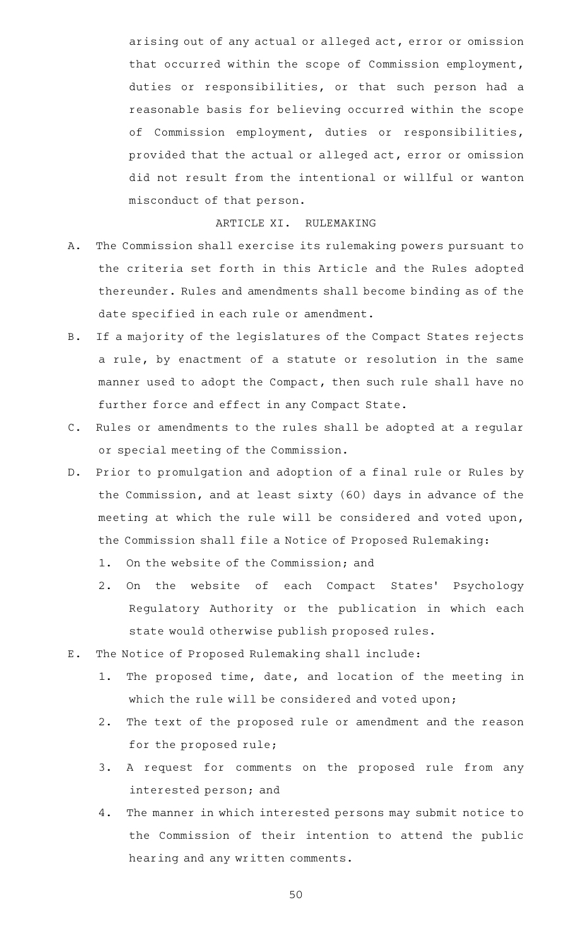arising out of any actual or alleged act, error or omission that occurred within the scope of Commission employment, duties or responsibilities, or that such person had a reasonable basis for believing occurred within the scope of Commission employment, duties or responsibilities, provided that the actual or alleged act, error or omission did not result from the intentional or willful or wanton misconduct of that person.

# ARTICLE XI. RULEMAKING

- A. The Commission shall exercise its rulemaking powers pursuant to the criteria set forth in this Article and the Rules adopted thereunder. Rules and amendments shall become binding as of the date specified in each rule or amendment.
- B. If a majority of the legislatures of the Compact States rejects a rule, by enactment of a statute or resolution in the same manner used to adopt the Compact, then such rule shall have no further force and effect in any Compact State.
- C. Rules or amendments to the rules shall be adopted at a regular or special meeting of the Commission.
- D. Prior to promulgation and adoption of a final rule or Rules by the Commission, and at least sixty (60) days in advance of the meeting at which the rule will be considered and voted upon, the Commission shall file a Notice of Proposed Rulemaking:
	- 1. On the website of the Commission; and
	- 2. On the website of each Compact States' Psychology Regulatory Authority or the publication in which each state would otherwise publish proposed rules.
- E. The Notice of Proposed Rulemaking shall include:
	- 1. The proposed time, date, and location of the meeting in which the rule will be considered and voted upon;
	- 2. The text of the proposed rule or amendment and the reason for the proposed rule;
	- 3. A request for comments on the proposed rule from any interested person; and
	- 4. The manner in which interested persons may submit notice to the Commission of their intention to attend the public hearing and any written comments.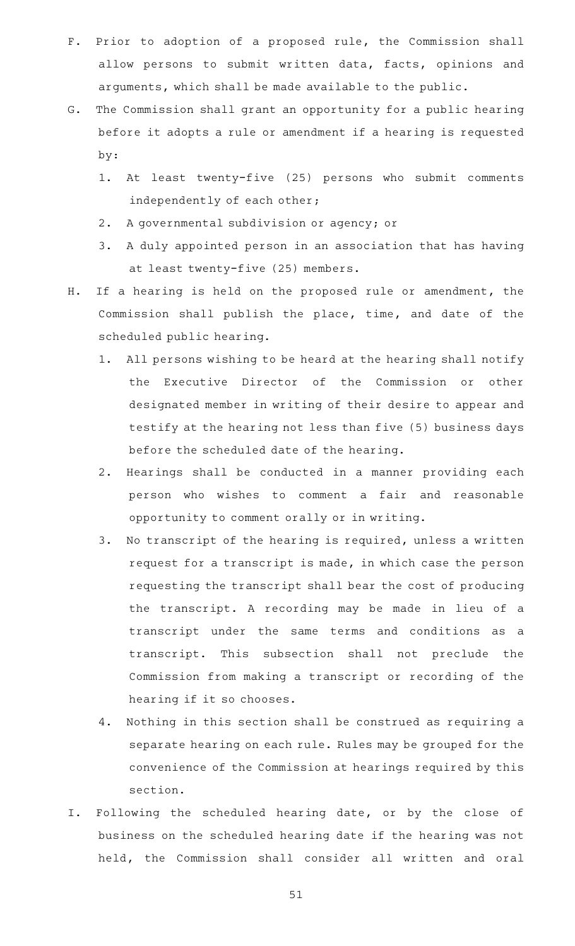- F. Prior to adoption of a proposed rule, the Commission shall allow persons to submit written data, facts, opinions and arguments, which shall be made available to the public.
- G. The Commission shall grant an opportunity for a public hearing before it adopts a rule or amendment if a hearing is requested by:
	- 1. At least twenty-five (25) persons who submit comments independently of each other;
	- 2. A governmental subdivision or agency; or
	- 3. A duly appointed person in an association that has having at least twenty-five (25) members.
- H. If a hearing is held on the proposed rule or amendment, the Commission shall publish the place, time, and date of the scheduled public hearing.
	- 1. All persons wishing to be heard at the hearing shall notify the Executive Director of the Commission or other designated member in writing of their desire to appear and testify at the hearing not less than five (5) business days before the scheduled date of the hearing.
	- 2. Hearings shall be conducted in a manner providing each person who wishes to comment a fair and reasonable opportunity to comment orally or in writing.
	- 3. No transcript of the hearing is required, unless a written request for a transcript is made, in which case the person requesting the transcript shall bear the cost of producing the transcript. A recording may be made in lieu of a transcript under the same terms and conditions as a transcript. This subsection shall not preclude the Commission from making a transcript or recording of the hearing if it so chooses.
	- 4. Nothing in this section shall be construed as requiring a separate hearing on each rule. Rules may be grouped for the convenience of the Commission at hearings required by this section.
- I. Following the scheduled hearing date, or by the close of business on the scheduled hearing date if the hearing was not held, the Commission shall consider all written and oral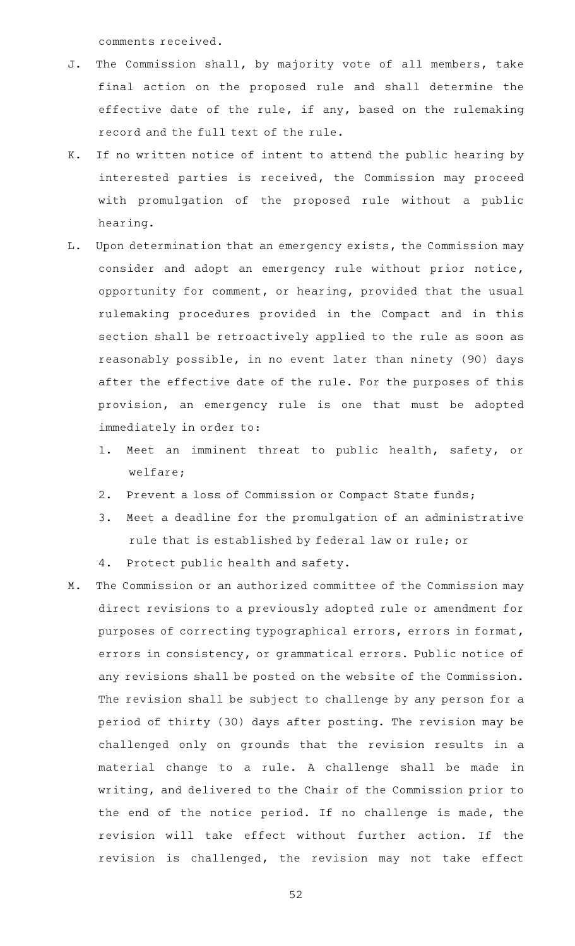comments received.

- J. The Commission shall, by majority vote of all members, take final action on the proposed rule and shall determine the effective date of the rule, if any, based on the rulemaking record and the full text of the rule.
- K. If no written notice of intent to attend the public hearing by interested parties is received, the Commission may proceed with promulgation of the proposed rule without a public hearing.
- L. Upon determination that an emergency exists, the Commission may consider and adopt an emergency rule without prior notice, opportunity for comment, or hearing, provided that the usual rulemaking procedures provided in the Compact and in this section shall be retroactively applied to the rule as soon as reasonably possible, in no event later than ninety (90) days after the effective date of the rule. For the purposes of this provision, an emergency rule is one that must be adopted immediately in order to:
	- 1. Meet an imminent threat to public health, safety, or welfare;
	- 2. Prevent a loss of Commission or Compact State funds;
	- 3. Meet a deadline for the promulgation of an administrative rule that is established by federal law or rule; or
	- 4. Protect public health and safety.
- M. The Commission or an authorized committee of the Commission may direct revisions to a previously adopted rule or amendment for purposes of correcting typographical errors, errors in format, errors in consistency, or grammatical errors. Public notice of any revisions shall be posted on the website of the Commission. The revision shall be subject to challenge by any person for a period of thirty (30) days after posting. The revision may be challenged only on grounds that the revision results in a material change to a rule. A challenge shall be made in writing, and delivered to the Chair of the Commission prior to the end of the notice period. If no challenge is made, the revision will take effect without further action. If the revision is challenged, the revision may not take effect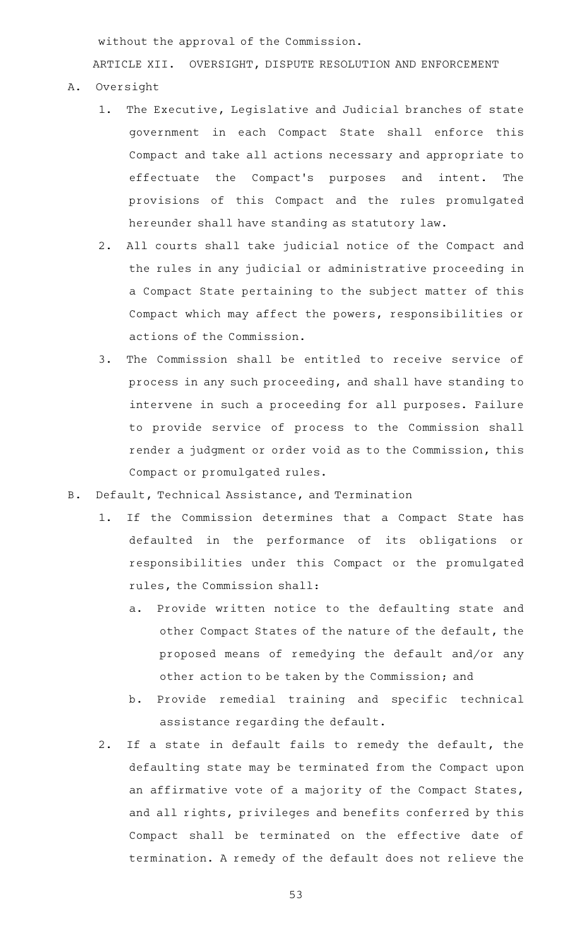without the approval of the Commission.

ARTICLE XII. OVERSIGHT, DISPUTE RESOLUTION AND ENFORCEMENT

- A. Oversight
	- 1. The Executive, Legislative and Judicial branches of state government in each Compact State shall enforce this Compact and take all actions necessary and appropriate to effectuate the Compact 's purposes and intent. The provisions of this Compact and the rules promulgated hereunder shall have standing as statutory law.
	- 2. All courts shall take judicial notice of the Compact and the rules in any judicial or administrative proceeding in a Compact State pertaining to the subject matter of this Compact which may affect the powers, responsibilities or actions of the Commission.
	- 3. The Commission shall be entitled to receive service of process in any such proceeding, and shall have standing to intervene in such a proceeding for all purposes. Failure to provide service of process to the Commission shall render a judgment or order void as to the Commission, this Compact or promulgated rules.
- B. Default, Technical Assistance, and Termination
	- 1. If the Commission determines that a Compact State has defaulted in the performance of its obligations or responsibilities under this Compact or the promulgated rules, the Commission shall:
		- a. Provide written notice to the defaulting state and other Compact States of the nature of the default, the proposed means of remedying the default and/or any other action to be taken by the Commission; and
		- b. Provide remedial training and specific technical assistance regarding the default.
	- 2. If a state in default fails to remedy the default, the defaulting state may be terminated from the Compact upon an affirmative vote of a majority of the Compact States, and all rights, privileges and benefits conferred by this Compact shall be terminated on the effective date of termination. A remedy of the default does not relieve the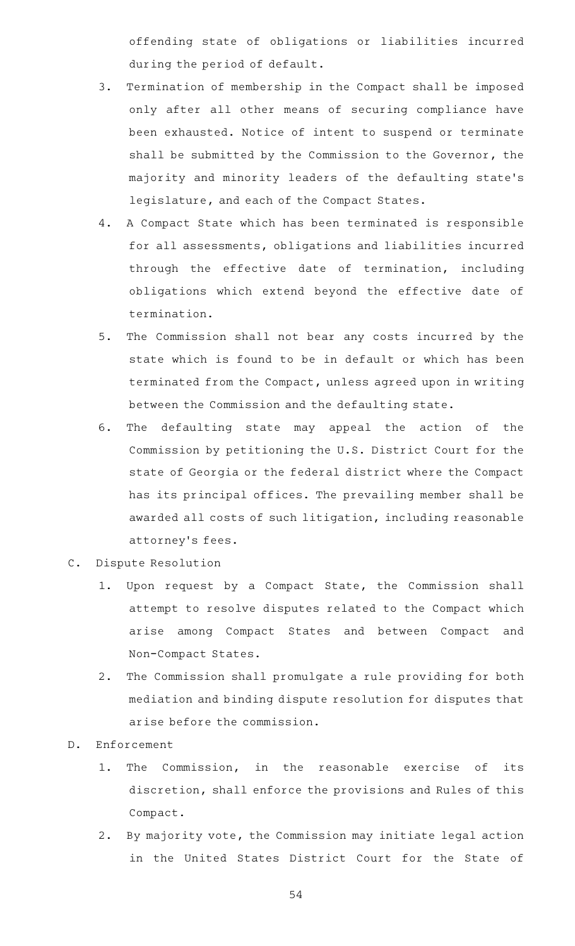offending state of obligations or liabilities incurred during the period of default.

- 3. Termination of membership in the Compact shall be imposed only after all other means of securing compliance have been exhausted. Notice of intent to suspend or terminate shall be submitted by the Commission to the Governor, the majority and minority leaders of the defaulting state 's legislature, and each of the Compact States.
- 4. A Compact State which has been terminated is responsible for all assessments, obligations and liabilities incurred through the effective date of termination, including obligations which extend beyond the effective date of termination.
- 5. The Commission shall not bear any costs incurred by the state which is found to be in default or which has been terminated from the Compact, unless agreed upon in writing between the Commission and the defaulting state.
- 6. The defaulting state may appeal the action of the Commission by petitioning the U.S. District Court for the state of Georgia or the federal district where the Compact has its principal offices. The prevailing member shall be awarded all costs of such litigation, including reasonable attorney 's fees.
- C. Dispute Resolution
	- 1. Upon request by a Compact State, the Commission shall attempt to resolve disputes related to the Compact which arise among Compact States and between Compact and Non-Compact States.
	- 2. The Commission shall promulgate a rule providing for both mediation and binding dispute resolution for disputes that arise before the commission.
- D. Enforcement
	- 1. The Commission, in the reasonable exercise of its discretion, shall enforce the provisions and Rules of this Compact.
	- 2. By majority vote, the Commission may initiate legal action in the United States District Court for the State of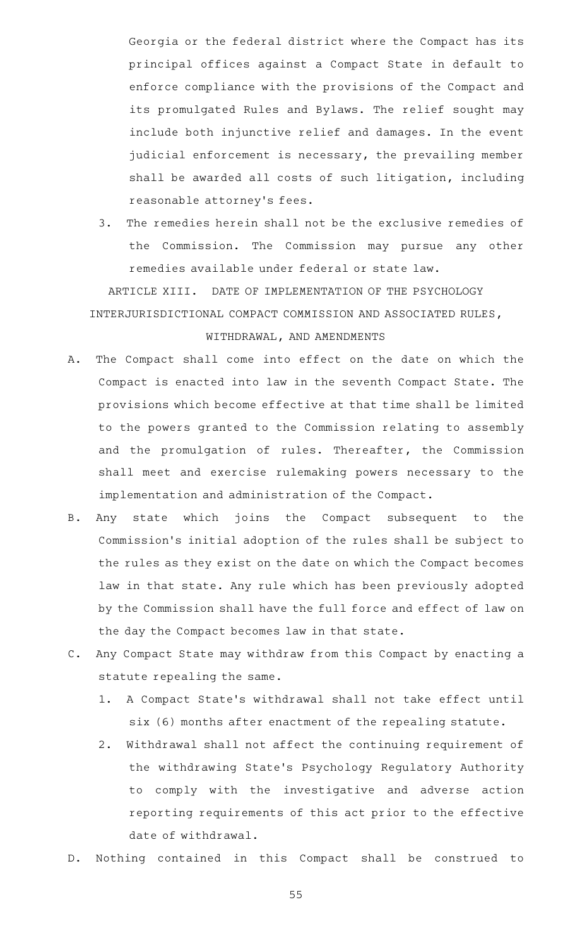Georgia or the federal district where the Compact has its principal offices against a Compact State in default to enforce compliance with the provisions of the Compact and its promulgated Rules and Bylaws. The relief sought may include both injunctive relief and damages. In the event judicial enforcement is necessary, the prevailing member shall be awarded all costs of such litigation, including reasonable attorney 's fees.

3. The remedies herein shall not be the exclusive remedies of the Commission. The Commission may pursue any other remedies available under federal or state law.

ARTICLE XIII. DATE OF IMPLEMENTATION OF THE PSYCHOLOGY INTERJURISDICTIONAL COMPACT COMMISSION AND ASSOCIATED RULES, WITHDRAWAL, AND AMENDMENTS

- A. The Compact shall come into effect on the date on which the Compact is enacted into law in the seventh Compact State. The provisions which become effective at that time shall be limited to the powers granted to the Commission relating to assembly and the promulgation of rules. Thereafter, the Commission shall meet and exercise rulemaking powers necessary to the implementation and administration of the Compact.
- B. Any state which joins the Compact subsequent to the Commission 's initial adoption of the rules shall be subject to the rules as they exist on the date on which the Compact becomes law in that state. Any rule which has been previously adopted by the Commission shall have the full force and effect of law on the day the Compact becomes law in that state.
- C. Any Compact State may withdraw from this Compact by enacting a statute repealing the same.
	- 1. A Compact State's withdrawal shall not take effect until six (6) months after enactment of the repealing statute.
	- 2. Withdrawal shall not affect the continuing requirement of the withdrawing State 's Psychology Regulatory Authority to comply with the investigative and adverse action reporting requirements of this act prior to the effective date of withdrawal.
- D. Nothing contained in this Compact shall be construed to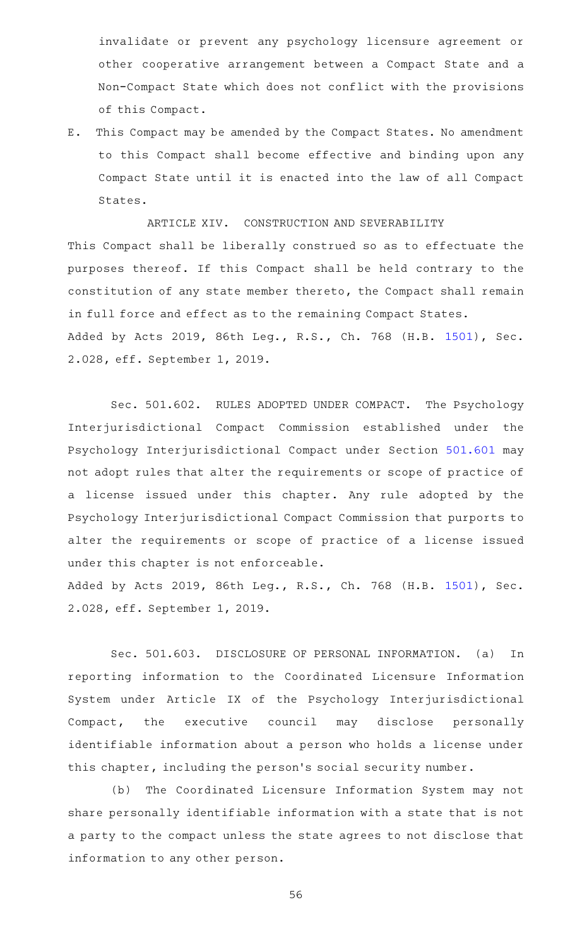invalidate or prevent any psychology licensure agreement or other cooperative arrangement between a Compact State and a Non-Compact State which does not conflict with the provisions of this Compact.

E. This Compact may be amended by the Compact States. No amendment to this Compact shall become effective and binding upon any Compact State until it is enacted into the law of all Compact States.

ARTICLE XIV. CONSTRUCTION AND SEVERABILITY This Compact shall be liberally construed so as to effectuate the purposes thereof. If this Compact shall be held contrary to the constitution of any state member thereto, the Compact shall remain in full force and effect as to the remaining Compact States. Added by Acts 2019, 86th Leg., R.S., Ch. 768 (H.B. [1501](http://www.legis.state.tx.us/tlodocs/86R/billtext/html/HB01501F.HTM)), Sec. 2.028, eff. September 1, 2019.

Sec. 501.602. RULES ADOPTED UNDER COMPACT. The Psychology Interjurisdictional Compact Commission established under the Psychology Interjurisdictional Compact under Section [501.601](http://www.statutes.legis.state.tx.us/GetStatute.aspx?Code=OC&Value=501.601) may not adopt rules that alter the requirements or scope of practice of a license issued under this chapter. Any rule adopted by the Psychology Interjurisdictional Compact Commission that purports to alter the requirements or scope of practice of a license issued under this chapter is not enforceable. Added by Acts 2019, 86th Leg., R.S., Ch. 768 (H.B. [1501](http://www.legis.state.tx.us/tlodocs/86R/billtext/html/HB01501F.HTM)), Sec. 2.028, eff. September 1, 2019.

Sec. 501.603. DISCLOSURE OF PERSONAL INFORMATION. (a) In reporting information to the Coordinated Licensure Information System under Article IX of the Psychology Interjurisdictional Compact, the executive council may disclose personally identifiable information about a person who holds a license under this chapter, including the person 's social security number.

(b) The Coordinated Licensure Information System may not share personally identifiable information with a state that is not a party to the compact unless the state agrees to not disclose that information to any other person.